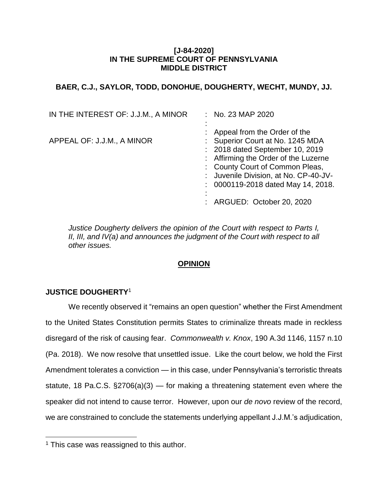### **[J-84-2020] IN THE SUPREME COURT OF PENNSYLVANIA MIDDLE DISTRICT**

# **BAER, C.J., SAYLOR, TODD, DONOHUE, DOUGHERTY, WECHT, MUNDY, JJ.**

| IN THE INTEREST OF: J.J.M., A MINOR | : No. 23 MAP 2020                                                                                                                                                                                                                                               |
|-------------------------------------|-----------------------------------------------------------------------------------------------------------------------------------------------------------------------------------------------------------------------------------------------------------------|
| APPEAL OF: J.J.M., A MINOR          | : Appeal from the Order of the<br>: Superior Court at No. 1245 MDA<br>: 2018 dated September 10, 2019<br>: Affirming the Order of the Luzerne<br>: County Court of Common Pleas,<br>: Juvenile Division, at No. CP-40-JV-<br>: 0000119-2018 dated May 14, 2018. |
|                                     | ARGUED: October 20, 2020                                                                                                                                                                                                                                        |

*Justice Dougherty delivers the opinion of the Court with respect to Parts I, II, III, and IV(a) and announces the judgment of the Court with respect to all other issues.*

# **OPINION**

# **JUSTICE DOUGHERTY**<sup>1</sup>

 $\overline{a}$ 

We recently observed it "remains an open question" whether the First Amendment to the United States Constitution permits States to criminalize threats made in reckless disregard of the risk of causing fear. *Commonwealth v. Knox*, 190 A.3d 1146, 1157 n.10 (Pa. 2018). We now resolve that unsettled issue. Like the court below, we hold the First Amendment tolerates a conviction — in this case, under Pennsylvania's terroristic threats statute, 18 Pa.C.S. §2706(a)(3) — for making a threatening statement even where the speaker did not intend to cause terror. However, upon our *de novo* review of the record, we are constrained to conclude the statements underlying appellant J.J.M.'s adjudication,

 $1$  This case was reassigned to this author.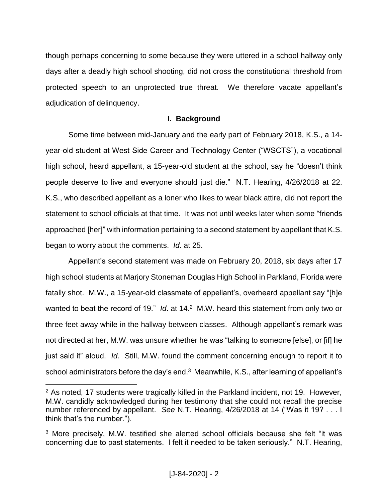though perhaps concerning to some because they were uttered in a school hallway only days after a deadly high school shooting, did not cross the constitutional threshold from protected speech to an unprotected true threat. We therefore vacate appellant's adjudication of delinquency.

# **I. Background**

Some time between mid-January and the early part of February 2018, K.S., a 14 year-old student at West Side Career and Technology Center ("WSCTS"), a vocational high school, heard appellant, a 15-year-old student at the school, say he "doesn't think people deserve to live and everyone should just die." N.T. Hearing, 4/26/2018 at 22. K.S., who described appellant as a loner who likes to wear black attire, did not report the statement to school officials at that time. It was not until weeks later when some "friends approached [her]" with information pertaining to a second statement by appellant that K.S. began to worry about the comments. *Id*. at 25.

Appellant's second statement was made on February 20, 2018, six days after 17 high school students at Marjory Stoneman Douglas High School in Parkland, Florida were fatally shot. M.W., a 15-year-old classmate of appellant's, overheard appellant say "[h]e wanted to beat the record of 19." *Id.* at 14.<sup>2</sup> M.W. heard this statement from only two or three feet away while in the hallway between classes. Although appellant's remark was not directed at her, M.W. was unsure whether he was "talking to someone [else], or [if] he just said it" aloud. *Id*. Still, M.W. found the comment concerning enough to report it to school administrators before the day's end. $3\,$  Meanwhile, K.S., after learning of appellant's

<sup>&</sup>lt;sup>2</sup> As noted, 17 students were tragically killed in the Parkland incident, not 19. However, M.W. candidly acknowledged during her testimony that she could not recall the precise number referenced by appellant. *See* N.T. Hearing, 4/26/2018 at 14 ("Was it 19? . . . I think that's the number.").

<sup>3</sup> More precisely, M.W. testified she alerted school officials because she felt "it was concerning due to past statements. I felt it needed to be taken seriously." N.T. Hearing,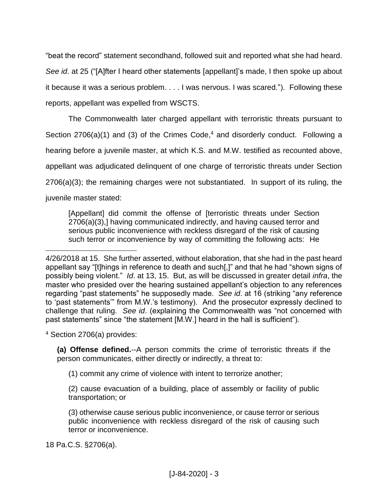"beat the record" statement secondhand, followed suit and reported what she had heard. *See id*. at 25 ("[A]fter I heard other statements [appellant]'s made, I then spoke up about it because it was a serious problem. . . . I was nervous. I was scared."). Following these reports, appellant was expelled from WSCTS.

The Commonwealth later charged appellant with terroristic threats pursuant to Section 2706(a)(1) and (3) of the Crimes Code,<sup>4</sup> and disorderly conduct. Following a hearing before a juvenile master, at which K.S. and M.W. testified as recounted above, appellant was adjudicated delinquent of one charge of terroristic threats under Section 2706(a)(3); the remaining charges were not substantiated. In support of its ruling, the juvenile master stated:

[Appellant] did commit the offense of [terroristic threats under Section 2706(a)(3),] having communicated indirectly, and having caused terror and serious public inconvenience with reckless disregard of the risk of causing such terror or inconvenience by way of committing the following acts: He

<sup>4</sup> Section 2706(a) provides:

 $\overline{a}$ 

**(a) Offense defined.**--A person commits the crime of terroristic threats if the person communicates, either directly or indirectly, a threat to:

(1) commit any crime of violence with intent to terrorize another;

(2) cause evacuation of a building, place of assembly or facility of public transportation; or

(3) otherwise cause serious public inconvenience, or cause terror or serious public inconvenience with reckless disregard of the risk of causing such terror or inconvenience.

18 Pa.C.S. §2706(a).

<sup>4/26/2018</sup> at 15. She further asserted, without elaboration, that she had in the past heard appellant say "[t]hings in reference to death and such[,]" and that he had "shown signs of possibly being violent." *Id*. at 13, 15. But, as will be discussed in greater detail *infra*, the master who presided over the hearing sustained appellant's objection to any references regarding "past statements" he supposedly made. *See id*. at 16 (striking "any reference to 'past statements'" from M.W.'s testimony). And the prosecutor expressly declined to challenge that ruling. *See id*. (explaining the Commonwealth was "not concerned with past statements" since "the statement [M.W.] heard in the hall is sufficient").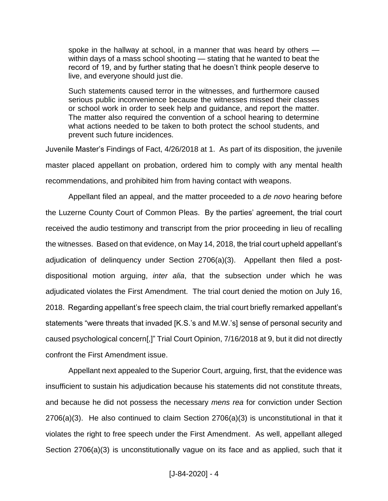spoke in the hallway at school, in a manner that was heard by others within days of a mass school shooting — stating that he wanted to beat the record of 19, and by further stating that he doesn't think people deserve to live, and everyone should just die.

Such statements caused terror in the witnesses, and furthermore caused serious public inconvenience because the witnesses missed their classes or school work in order to seek help and guidance, and report the matter. The matter also required the convention of a school hearing to determine what actions needed to be taken to both protect the school students, and prevent such future incidences.

Juvenile Master's Findings of Fact, 4/26/2018 at 1. As part of its disposition, the juvenile master placed appellant on probation, ordered him to comply with any mental health recommendations, and prohibited him from having contact with weapons.

Appellant filed an appeal, and the matter proceeded to a *de novo* hearing before the Luzerne County Court of Common Pleas. By the parties' agreement, the trial court received the audio testimony and transcript from the prior proceeding in lieu of recalling the witnesses. Based on that evidence, on May 14, 2018, the trial court upheld appellant's adjudication of delinquency under Section 2706(a)(3). Appellant then filed a postdispositional motion arguing, *inter alia*, that the subsection under which he was adjudicated violates the First Amendment. The trial court denied the motion on July 16, 2018. Regarding appellant's free speech claim, the trial court briefly remarked appellant's statements "were threats that invaded [K.S.'s and M.W.'s] sense of personal security and caused psychological concern[,]" Trial Court Opinion, 7/16/2018 at 9, but it did not directly confront the First Amendment issue.

Appellant next appealed to the Superior Court, arguing, first, that the evidence was insufficient to sustain his adjudication because his statements did not constitute threats, and because he did not possess the necessary *mens rea* for conviction under Section 2706(a)(3). He also continued to claim Section 2706(a)(3) is unconstitutional in that it violates the right to free speech under the First Amendment. As well, appellant alleged Section 2706(a)(3) is unconstitutionally vague on its face and as applied, such that it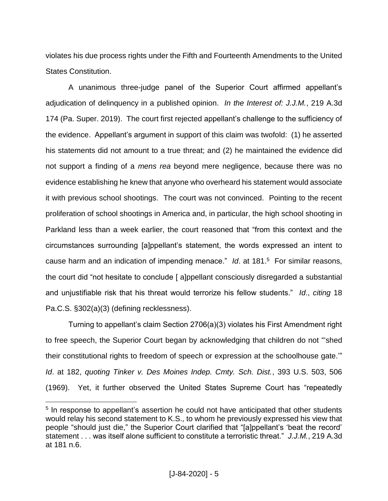violates his due process rights under the Fifth and Fourteenth Amendments to the United States Constitution.

A unanimous three-judge panel of the Superior Court affirmed appellant's adjudication of delinquency in a published opinion. *In the Interest of: J.J.M.*, 219 A.3d 174 (Pa. Super. 2019). The court first rejected appellant's challenge to the sufficiency of the evidence. Appellant's argument in support of this claim was twofold: (1) he asserted his statements did not amount to a true threat; and (2) he maintained the evidence did not support a finding of a *mens rea* beyond mere negligence, because there was no evidence establishing he knew that anyone who overheard his statement would associate it with previous school shootings. The court was not convinced. Pointing to the recent proliferation of school shootings in America and, in particular, the high school shooting in Parkland less than a week earlier, the court reasoned that "from this context and the circumstances surrounding [a]ppellant's statement, the words expressed an intent to cause harm and an indication of impending menace." *Id*. at 181. 5 For similar reasons, the court did "not hesitate to conclude [ a]ppellant consciously disregarded a substantial and unjustifiable risk that his threat would terrorize his fellow students." *Id*., *citing* 18 Pa.C.S. §302(a)(3) (defining recklessness).

Turning to appellant's claim Section 2706(a)(3) violates his First Amendment right to free speech, the Superior Court began by acknowledging that children do not "'shed their constitutional rights to freedom of speech or expression at the schoolhouse gate.'" *Id*. at 182, *quoting Tinker v. Des Moines Indep. Cmty. Sch. Dist.*, 393 U.S. 503, 506 (1969). Yet, it further observed the United States Supreme Court has "repeatedly

<sup>&</sup>lt;sup>5</sup> In response to appellant's assertion he could not have anticipated that other students would relay his second statement to K.S., to whom he previously expressed his view that people "should just die," the Superior Court clarified that "[a]ppellant's 'beat the record' statement . . . was itself alone sufficient to constitute a terroristic threat." *J.J.M.*, 219 A.3d at 181 n.6.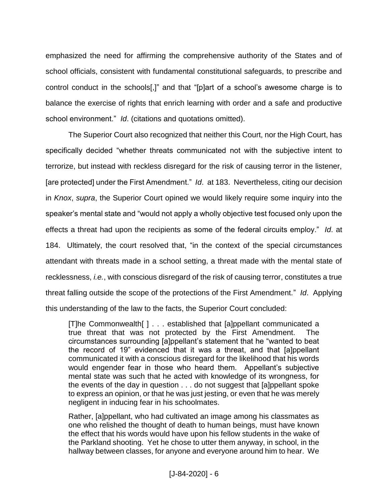emphasized the need for affirming the comprehensive authority of the States and of school officials, consistent with fundamental constitutional safeguards, to prescribe and control conduct in the schools[,]" and that "[p]art of a school's awesome charge is to balance the exercise of rights that enrich learning with order and a safe and productive school environment." *Id*. (citations and quotations omitted).

The Superior Court also recognized that neither this Court, nor the High Court, has specifically decided "whether threats communicated not with the subjective intent to terrorize, but instead with reckless disregard for the risk of causing terror in the listener, [are protected] under the First Amendment." *Id*. at 183. Nevertheless, citing our decision in *Knox*, *supra*, the Superior Court opined we would likely require some inquiry into the speaker's mental state and "would not apply a wholly objective test focused only upon the effects a threat had upon the recipients as some of the federal circuits employ." *Id*. at 184. Ultimately, the court resolved that, "in the context of the special circumstances attendant with threats made in a school setting, a threat made with the mental state of recklessness, *i.e.*, with conscious disregard of the risk of causing terror, constitutes a true threat falling outside the scope of the protections of the First Amendment." *Id*. Applying this understanding of the law to the facts, the Superior Court concluded:

[T]he Commonwealth[ ] . . . established that [a]ppellant communicated a true threat that was not protected by the First Amendment. The circumstances surrounding [a]ppellant's statement that he "wanted to beat the record of 19" evidenced that it was a threat, and that [a]ppellant communicated it with a conscious disregard for the likelihood that his words would engender fear in those who heard them. Appellant's subjective mental state was such that he acted with knowledge of its wrongness, for the events of the day in question . . . do not suggest that [a]ppellant spoke to express an opinion, or that he was just jesting, or even that he was merely negligent in inducing fear in his schoolmates.

Rather, [a]ppellant, who had cultivated an image among his classmates as one who relished the thought of death to human beings, must have known the effect that his words would have upon his fellow students in the wake of the Parkland shooting. Yet he chose to utter them anyway, in school, in the hallway between classes, for anyone and everyone around him to hear. We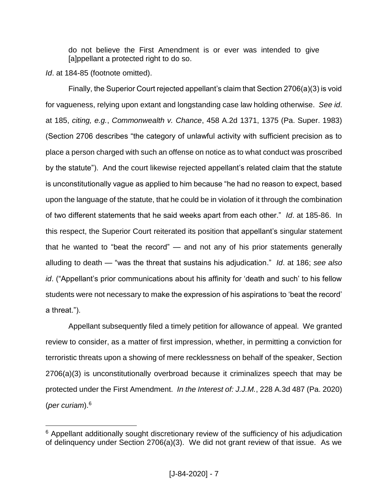do not believe the First Amendment is or ever was intended to give [a]ppellant a protected right to do so.

*Id*. at 184-85 (footnote omitted).

 $\overline{a}$ 

Finally, the Superior Court rejected appellant's claim that Section 2706(a)(3) is void for vagueness, relying upon extant and longstanding case law holding otherwise. *See id*. at 185, *citing, e.g.*, *Commonwealth v. Chance*, 458 A.2d 1371, 1375 (Pa. Super. 1983) (Section 2706 describes "the category of unlawful activity with sufficient precision as to place a person charged with such an offense on notice as to what conduct was proscribed by the statute"). And the court likewise rejected appellant's related claim that the statute is unconstitutionally vague as applied to him because "he had no reason to expect, based upon the language of the statute, that he could be in violation of it through the combination of two different statements that he said weeks apart from each other." *Id*. at 185-86. In this respect, the Superior Court reiterated its position that appellant's singular statement that he wanted to "beat the record" — and not any of his prior statements generally alluding to death — "was the threat that sustains his adjudication." *Id*. at 186; *see also id*. ("Appellant's prior communications about his affinity for 'death and such' to his fellow students were not necessary to make the expression of his aspirations to 'beat the record' a threat.").

Appellant subsequently filed a timely petition for allowance of appeal. We granted review to consider, as a matter of first impression, whether, in permitting a conviction for terroristic threats upon a showing of mere recklessness on behalf of the speaker, Section 2706(a)(3) is unconstitutionally overbroad because it criminalizes speech that may be protected under the First Amendment. *In the Interest of: J.J.M.*, 228 A.3d 487 (Pa. 2020) (*per curiam*).<sup>6</sup>

<sup>&</sup>lt;sup>6</sup> Appellant additionally sought discretionary review of the sufficiency of his adjudication of delinquency under Section 2706(a)(3). We did not grant review of that issue. As we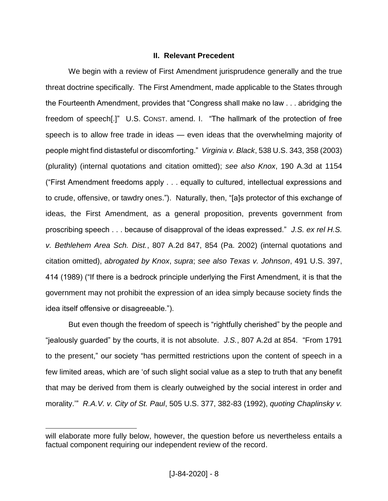### **II. Relevant Precedent**

We begin with a review of First Amendment jurisprudence generally and the true threat doctrine specifically. The First Amendment, made applicable to the States through the Fourteenth Amendment, provides that "Congress shall make no law . . . abridging the freedom of speech[.]" U.S. CONST. amend. I. "The hallmark of the protection of free speech is to allow free trade in ideas — even ideas that the overwhelming majority of people might find distasteful or discomforting." *Virginia v. Black*, 538 U.S. 343, 358 (2003) (plurality) (internal quotations and citation omitted); *see also Knox*, 190 A.3d at 1154 ("First Amendment freedoms apply . . . equally to cultured, intellectual expressions and to crude, offensive, or tawdry ones."). Naturally, then, "[a]s protector of this exchange of ideas, the First Amendment, as a general proposition, prevents government from proscribing speech . . . because of disapproval of the ideas expressed." *J.S. ex rel H.S. v. Bethlehem Area Sch. Dist.*, 807 A.2d 847, 854 (Pa. 2002) (internal quotations and citation omitted), *abrogated by Knox*, *supra*; *see also Texas v. Johnson*, 491 U.S. 397, 414 (1989) ("If there is a bedrock principle underlying the First Amendment, it is that the government may not prohibit the expression of an idea simply because society finds the idea itself offensive or disagreeable.").

But even though the freedom of speech is "rightfully cherished" by the people and "jealously guarded" by the courts, it is not absolute. *J.S.*, 807 A.2d at 854. "From 1791 to the present," our society "has permitted restrictions upon the content of speech in a few limited areas, which are 'of such slight social value as a step to truth that any benefit that may be derived from them is clearly outweighed by the social interest in order and morality.'" *R.A.V. v. City of St. Paul*, 505 U.S. 377, 382-83 (1992), *quoting Chaplinsky v.* 

will elaborate more fully below, however, the question before us nevertheless entails a factual component requiring our independent review of the record.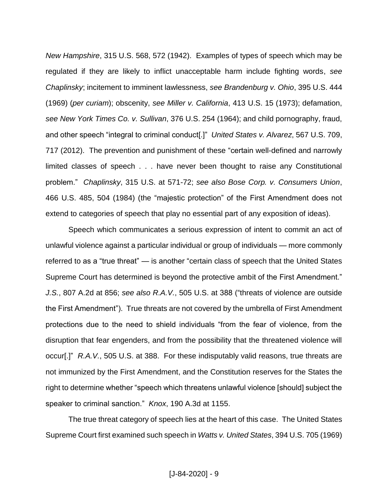*New Hampshire*, 315 U.S. 568, 572 (1942). Examples of types of speech which may be regulated if they are likely to inflict unacceptable harm include fighting words, *see Chaplinsky*; incitement to imminent lawlessness, *see Brandenburg v. Ohio*, 395 U.S. 444 (1969) (*per curiam*); obscenity, *see Miller v. California*, 413 U.S. 15 (1973); defamation, *see New York Times Co. v. Sullivan*, 376 U.S. 254 (1964); and child pornography, fraud, and other speech "integral to criminal conduct[.]" *United States v. Alvarez*, 567 U.S. 709, 717 (2012). The prevention and punishment of these "certain well-defined and narrowly limited classes of speech . . . have never been thought to raise any Constitutional problem." *Chaplinsky*, 315 U.S. at 571-72; *see also Bose Corp. v. Consumers Union*, 466 U.S. 485, 504 (1984) (the "majestic protection" of the First Amendment does not extend to categories of speech that play no essential part of any exposition of ideas).

Speech which communicates a serious expression of intent to commit an act of unlawful violence against a particular individual or group of individuals — more commonly referred to as a "true threat" — is another "certain class of speech that the United States Supreme Court has determined is beyond the protective ambit of the First Amendment." *J.S.*, 807 A.2d at 856; *see also R.A.V.*, 505 U.S. at 388 ("threats of violence are outside the First Amendment"). True threats are not covered by the umbrella of First Amendment protections due to the need to shield individuals "from the fear of violence, from the disruption that fear engenders, and from the possibility that the threatened violence will occur[.]" *R.A.V.*, 505 U.S. at 388. For these indisputably valid reasons, true threats are not immunized by the First Amendment, and the Constitution reserves for the States the right to determine whether "speech which threatens unlawful violence [should] subject the speaker to criminal sanction." *Knox*, 190 A.3d at 1155.

The true threat category of speech lies at the heart of this case. The United States Supreme Court first examined such speech in *Watts v. United States*, 394 U.S. 705 (1969)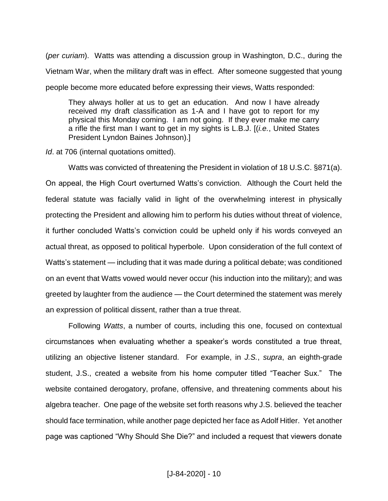(*per curiam*). Watts was attending a discussion group in Washington, D.C., during the Vietnam War, when the military draft was in effect. After someone suggested that young people become more educated before expressing their views, Watts responded:

They always holler at us to get an education. And now I have already received my draft classification as 1-A and I have got to report for my physical this Monday coming. I am not going. If they ever make me carry a rifle the first man I want to get in my sights is L.B.J. [(*i.e.*, United States President Lyndon Baines Johnson).]

*Id*. at 706 (internal quotations omitted).

Watts was convicted of threatening the President in violation of 18 U.S.C. §871(a). On appeal, the High Court overturned Watts's conviction. Although the Court held the federal statute was facially valid in light of the overwhelming interest in physically protecting the President and allowing him to perform his duties without threat of violence, it further concluded Watts's conviction could be upheld only if his words conveyed an actual threat, as opposed to political hyperbole. Upon consideration of the full context of Watts's statement — including that it was made during a political debate; was conditioned on an event that Watts vowed would never occur (his induction into the military); and was greeted by laughter from the audience — the Court determined the statement was merely an expression of political dissent, rather than a true threat.

Following *Watts*, a number of courts, including this one, focused on contextual circumstances when evaluating whether a speaker's words constituted a true threat, utilizing an objective listener standard. For example, in *J.S.*, *supra*, an eighth-grade student, J.S., created a website from his home computer titled "Teacher Sux." The website contained derogatory, profane, offensive, and threatening comments about his algebra teacher. One page of the website set forth reasons why J.S. believed the teacher should face termination, while another page depicted her face as Adolf Hitler. Yet another page was captioned "Why Should She Die?" and included a request that viewers donate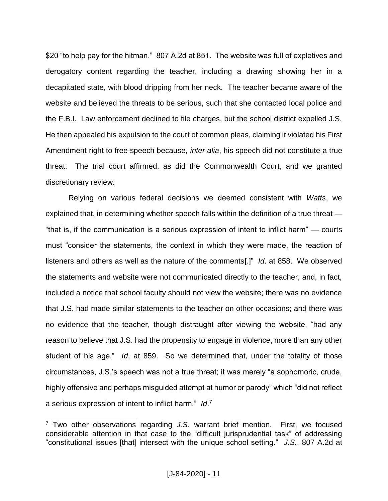\$20 "to help pay for the hitman." 807 A.2d at 851. The website was full of expletives and derogatory content regarding the teacher, including a drawing showing her in a decapitated state, with blood dripping from her neck. The teacher became aware of the website and believed the threats to be serious, such that she contacted local police and the F.B.I. Law enforcement declined to file charges, but the school district expelled J.S. He then appealed his expulsion to the court of common pleas, claiming it violated his First Amendment right to free speech because, *inter alia*, his speech did not constitute a true threat. The trial court affirmed, as did the Commonwealth Court, and we granted discretionary review.

Relying on various federal decisions we deemed consistent with *Watts*, we explained that, in determining whether speech falls within the definition of a true threat — "that is, if the communication is a serious expression of intent to inflict harm" — courts must "consider the statements, the context in which they were made, the reaction of listeners and others as well as the nature of the comments[.]" *Id*. at 858. We observed the statements and website were not communicated directly to the teacher, and, in fact, included a notice that school faculty should not view the website; there was no evidence that J.S. had made similar statements to the teacher on other occasions; and there was no evidence that the teacher, though distraught after viewing the website, "had any reason to believe that J.S. had the propensity to engage in violence, more than any other student of his age." *Id*. at 859. So we determined that, under the totality of those circumstances, J.S.'s speech was not a true threat; it was merely "a sophomoric, crude, highly offensive and perhaps misguided attempt at humor or parody" which "did not reflect a serious expression of intent to inflict harm." *Id*. 7

<sup>7</sup> Two other observations regarding *J.S.* warrant brief mention. First, we focused considerable attention in that case to the "difficult jurisprudential task" of addressing "constitutional issues [that] intersect with the unique school setting." *J.S.*, 807 A.2d at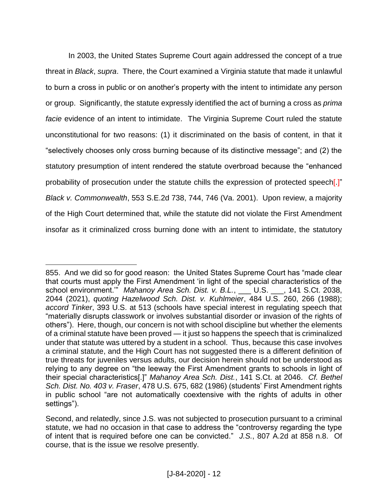In 2003, the United States Supreme Court again addressed the concept of a true threat in *Black*, *supra*. There, the Court examined a Virginia statute that made it unlawful to burn a cross in public or on another's property with the intent to intimidate any person or group. Significantly, the statute expressly identified the act of burning a cross as *prima facie* evidence of an intent to intimidate. The Virginia Supreme Court ruled the statute unconstitutional for two reasons: (1) it discriminated on the basis of content, in that it "selectively chooses only cross burning because of its distinctive message"; and (2) the statutory presumption of intent rendered the statute overbroad because the "enhanced probability of prosecution under the statute chills the expression of protected speech[.]" *Black v. Commonwealth*, 553 S.E.2d 738, 744, 746 (Va. 2001). Upon review, a majority of the High Court determined that, while the statute did not violate the First Amendment insofar as it criminalized cross burning done with an intent to intimidate, the statutory

<sup>855.</sup> And we did so for good reason: the United States Supreme Court has "made clear that courts must apply the First Amendment 'in light of the special characteristics of the school environment.<sup>""</sup> Mahanoy Area Sch. Dist. v. B.L., \_\_\_ U.S. \_\_, 141 S.Ct. 2038, 2044 (2021), *quoting Hazelwood Sch. Dist. v. Kuhlmeier*, 484 U.S. 260, 266 (1988); *accord Tinker*, 393 U.S. at 513 (schools have special interest in regulating speech that "materially disrupts classwork or involves substantial disorder or invasion of the rights of others"). Here, though, our concern is not with school discipline but whether the elements of a criminal statute have been proved — it just so happens the speech that is criminalized under that statute was uttered by a student in a school. Thus, because this case involves a criminal statute, and the High Court has not suggested there is a different definition of true threats for juveniles versus adults, our decision herein should not be understood as relying to any degree on "the leeway the First Amendment grants to schools in light of their special characteristics[.]" *Mahanoy Area Sch. Dist.*, 141 S.Ct. at 2046. *Cf. Bethel Sch. Dist. No. 403 v. Fraser*, 478 U.S. 675, 682 (1986) (students' First Amendment rights in public school "are not automatically coextensive with the rights of adults in other settings").

Second, and relatedly, since J.S. was not subjected to prosecution pursuant to a criminal statute, we had no occasion in that case to address the "controversy regarding the type of intent that is required before one can be convicted." *J.S.*, 807 A.2d at 858 n.8. Of course, that is the issue we resolve presently.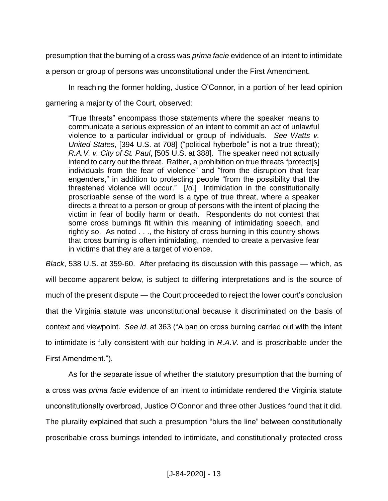presumption that the burning of a cross was *prima facie* evidence of an intent to intimidate

a person or group of persons was unconstitutional under the First Amendment.

In reaching the former holding, Justice O'Connor, in a portion of her lead opinion garnering a majority of the Court, observed:

"True threats" encompass those statements where the speaker means to communicate a serious expression of an intent to commit an act of unlawful violence to a particular individual or group of individuals. *See Watts v. United States*, [394 U.S. at 708] ("political hyberbole" is not a true threat); *R.A.V. v. City of St. Paul*, [505 U.S. at 388]. The speaker need not actually intend to carry out the threat. Rather, a prohibition on true threats "protect[s] individuals from the fear of violence" and "from the disruption that fear engenders," in addition to protecting people "from the possibility that the threatened violence will occur." [*Id.*] Intimidation in the constitutionally proscribable sense of the word is a type of true threat, where a speaker directs a threat to a person or group of persons with the intent of placing the victim in fear of bodily harm or death. Respondents do not contest that some cross burnings fit within this meaning of intimidating speech, and rightly so. As noted . . ., the history of cross burning in this country shows that cross burning is often intimidating, intended to create a pervasive fear in victims that they are a target of violence.

*Black*, 538 U.S. at 359-60. After prefacing its discussion with this passage — which, as will become apparent below, is subject to differing interpretations and is the source of much of the present dispute — the Court proceeded to reject the lower court's conclusion that the Virginia statute was unconstitutional because it discriminated on the basis of context and viewpoint. *See id*. at 363 ("A ban on cross burning carried out with the intent to intimidate is fully consistent with our holding in *R.A.V.* and is proscribable under the First Amendment.").

As for the separate issue of whether the statutory presumption that the burning of a cross was *prima facie* evidence of an intent to intimidate rendered the Virginia statute unconstitutionally overbroad, Justice O'Connor and three other Justices found that it did. The plurality explained that such a presumption "blurs the line" between constitutionally proscribable cross burnings intended to intimidate, and constitutionally protected cross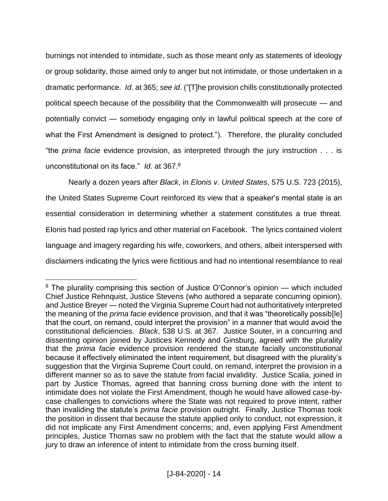burnings not intended to intimidate, such as those meant only as statements of ideology or group solidarity, those aimed only to anger but not intimidate, or those undertaken in a dramatic performance. *Id*. at 365; *see id*. ("[T]he provision chills constitutionally protected political speech because of the possibility that the Commonwealth will prosecute — and potentially convict — somebody engaging only in lawful political speech at the core of what the First Amendment is designed to protect."). Therefore, the plurality concluded "the *prima facie* evidence provision, as interpreted through the jury instruction . . . is unconstitutional on its face." *Id*. at 367.<sup>8</sup>

Nearly a dozen years after *Black*, in *Elonis v. United States*, 575 U.S. 723 (2015), the United States Supreme Court reinforced its view that a speaker's mental state is an essential consideration in determining whether a statement constitutes a true threat. Elonis had posted rap lyrics and other material on Facebook. The lyrics contained violent language and imagery regarding his wife, coworkers, and others, albeit interspersed with disclaimers indicating the lyrics were fictitious and had no intentional resemblance to real

 $8$  The plurality comprising this section of Justice O'Connor's opinion — which included Chief Justice Rehnquist, Justice Stevens (who authored a separate concurring opinion), and Justice Breyer — noted the Virginia Supreme Court had not authoritatively interpreted the meaning of the *prima facie* evidence provision, and that it was "theoretically possib[le] that the court, on remand, could interpret the provision" in a manner that would avoid the constitutional deficiencies. *Black*, 538 U.S. at 367. Justice Souter, in a concurring and dissenting opinion joined by Justices Kennedy and Ginsburg, agreed with the plurality that the *prima facie* evidence provision rendered the statute facially unconstitutional because it effectively eliminated the intent requirement, but disagreed with the plurality's suggestion that the Virginia Supreme Court could, on remand, interpret the provision in a different manner so as to save the statute from facial invalidity. Justice Scalia, joined in part by Justice Thomas, agreed that banning cross burning done with the intent to intimidate does not violate the First Amendment, though he would have allowed case-bycase challenges to convictions where the State was not required to prove intent, rather than invaliding the statute's *prima facie* provision outright. Finally, Justice Thomas took the position in dissent that because the statute applied only to conduct, not expression, it did not implicate any First Amendment concerns; and, even applying First Amendment principles, Justice Thomas saw no problem with the fact that the statute would allow a jury to draw an inference of intent to intimidate from the cross burning itself.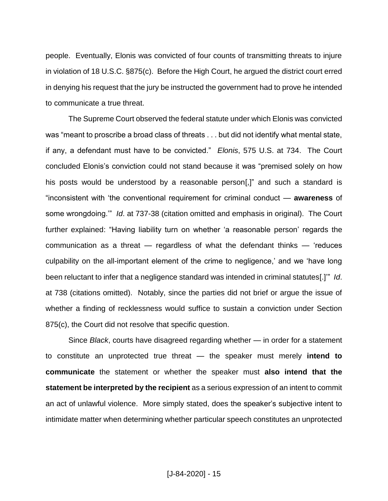people. Eventually, Elonis was convicted of four counts of transmitting threats to injure in violation of 18 U.S.C. §875(c). Before the High Court, he argued the district court erred in denying his request that the jury be instructed the government had to prove he intended to communicate a true threat.

The Supreme Court observed the federal statute under which Elonis was convicted was "meant to proscribe a broad class of threats . . . but did not identify what mental state, if any, a defendant must have to be convicted." *Elonis*, 575 U.S. at 734. The Court concluded Elonis's conviction could not stand because it was "premised solely on how his posts would be understood by a reasonable person[,]" and such a standard is "inconsistent with 'the conventional requirement for criminal conduct — **awareness** of some wrongdoing.'" *Id*. at 737-38 (citation omitted and emphasis in original). The Court further explained: "Having liability turn on whether 'a reasonable person' regards the communication as a threat — regardless of what the defendant thinks — 'reduces culpability on the all-important element of the crime to negligence,' and we 'have long been reluctant to infer that a negligence standard was intended in criminal statutes[.]'" *Id*. at 738 (citations omitted). Notably, since the parties did not brief or argue the issue of whether a finding of recklessness would suffice to sustain a conviction under Section 875(c), the Court did not resolve that specific question.

Since *Black*, courts have disagreed regarding whether — in order for a statement to constitute an unprotected true threat — the speaker must merely **intend to communicate** the statement or whether the speaker must **also intend that the statement be interpreted by the recipient** as a serious expression of an intent to commit an act of unlawful violence. More simply stated, does the speaker's subjective intent to intimidate matter when determining whether particular speech constitutes an unprotected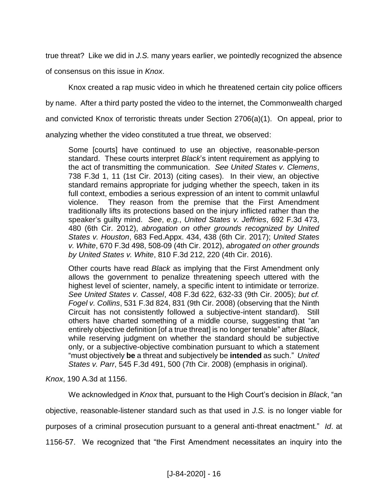true threat? Like we did in *J.S.* many years earlier, we pointedly recognized the absence of consensus on this issue in *Knox*.

Knox created a rap music video in which he threatened certain city police officers by name. After a third party posted the video to the internet, the Commonwealth charged and convicted Knox of terroristic threats under Section 2706(a)(1). On appeal, prior to analyzing whether the video constituted a true threat, we observed:

Some [courts] have continued to use an objective, reasonable-person standard. These courts interpret *Black*'s intent requirement as applying to the act of transmitting the communication. *See United States v. Clemens*, 738 F.3d 1, 11 (1st Cir. 2013) (citing cases). In their view, an objective standard remains appropriate for judging whether the speech, taken in its full context, embodies a serious expression of an intent to commit unlawful violence. They reason from the premise that the First Amendment traditionally lifts its protections based on the injury inflicted rather than the speaker's guilty mind. *See*, *e.g.*, *United States v. Jeffries*, 692 F.3d 473, 480 (6th Cir. 2012), *abrogation on other grounds recognized by United States v. Houston*, 683 Fed.Appx. 434, 438 (6th Cir. 2017); *United States v. White*, 670 F.3d 498, 508-09 (4th Cir. 2012), *abrogated on other grounds by United States v. White*, 810 F.3d 212, 220 (4th Cir. 2016).

Other courts have read *Black* as implying that the First Amendment only allows the government to penalize threatening speech uttered with the highest level of scienter, namely, a specific intent to intimidate or terrorize. *See United States v. Cassel*, 408 F.3d 622, 632-33 (9th Cir. 2005); *but cf. Fogel v. Collins*, 531 F.3d 824, 831 (9th Cir. 2008) (observing that the Ninth Circuit has not consistently followed a subjective-intent standard). Still others have charted something of a middle course, suggesting that "an entirely objective definition [of a true threat] is no longer tenable" after *Black*, while reserving judgment on whether the standard should be subjective only, or a subjective-objective combination pursuant to which a statement "must objectively **be** a threat and subjectively be **intended** as such." *United States v. Parr*, 545 F.3d 491, 500 (7th Cir. 2008) (emphasis in original).

*Knox*, 190 A.3d at 1156.

We acknowledged in *Knox* that, pursuant to the High Court's decision in *Black*, "an objective, reasonable-listener standard such as that used in *J.S.* is no longer viable for purposes of a criminal prosecution pursuant to a general anti-threat enactment." *Id*. at 1156-57. We recognized that "the First Amendment necessitates an inquiry into the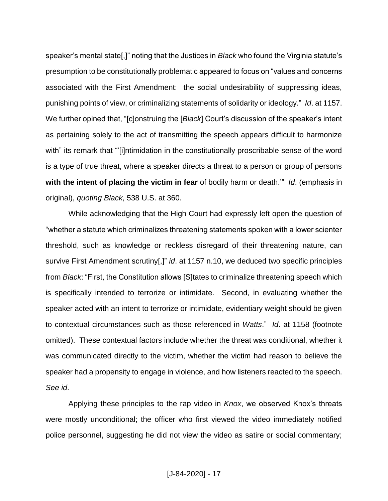speaker's mental state[,]" noting that the Justices in *Black* who found the Virginia statute's presumption to be constitutionally problematic appeared to focus on "values and concerns associated with the First Amendment: the social undesirability of suppressing ideas, punishing points of view, or criminalizing statements of solidarity or ideology." *Id*. at 1157. We further opined that, "[c]onstruing the [*Black*] Court's discussion of the speaker's intent as pertaining solely to the act of transmitting the speech appears difficult to harmonize with" its remark that "'[i]ntimidation in the constitutionally proscribable sense of the word is a type of true threat, where a speaker directs a threat to a person or group of persons **with the intent of placing the victim in fear** of bodily harm or death." *Id.* (emphasis in original), *quoting Black*, 538 U.S. at 360.

While acknowledging that the High Court had expressly left open the question of "whether a statute which criminalizes threatening statements spoken with a lower scienter threshold, such as knowledge or reckless disregard of their threatening nature, can survive First Amendment scrutiny[,]" *id*. at 1157 n.10, we deduced two specific principles from *Black*: "First, the Constitution allows [S]tates to criminalize threatening speech which is specifically intended to terrorize or intimidate. Second, in evaluating whether the speaker acted with an intent to terrorize or intimidate, evidentiary weight should be given to contextual circumstances such as those referenced in *Watts*." *Id*. at 1158 (footnote omitted). These contextual factors include whether the threat was conditional, whether it was communicated directly to the victim, whether the victim had reason to believe the speaker had a propensity to engage in violence, and how listeners reacted to the speech. *See id*.

Applying these principles to the rap video in *Knox*, we observed Knox's threats were mostly unconditional; the officer who first viewed the video immediately notified police personnel, suggesting he did not view the video as satire or social commentary;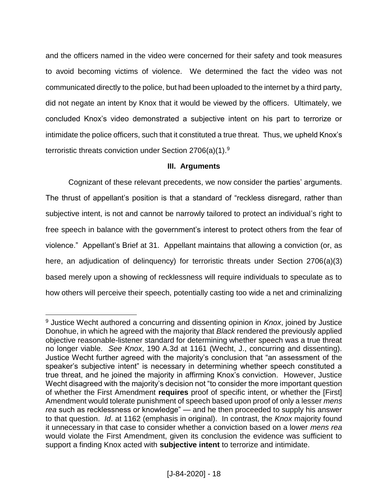and the officers named in the video were concerned for their safety and took measures to avoid becoming victims of violence. We determined the fact the video was not communicated directly to the police, but had been uploaded to the internet by a third party, did not negate an intent by Knox that it would be viewed by the officers. Ultimately, we concluded Knox's video demonstrated a subjective intent on his part to terrorize or intimidate the police officers, such that it constituted a true threat. Thus, we upheld Knox's terroristic threats conviction under Section 2706(a)(1).<sup>9</sup>

# **III. Arguments**

Cognizant of these relevant precedents, we now consider the parties' arguments. The thrust of appellant's position is that a standard of "reckless disregard, rather than subjective intent, is not and cannot be narrowly tailored to protect an individual's right to free speech in balance with the government's interest to protect others from the fear of violence." Appellant's Brief at 31. Appellant maintains that allowing a conviction (or, as here, an adjudication of delinquency) for terroristic threats under Section 2706(a)(3) based merely upon a showing of recklessness will require individuals to speculate as to how others will perceive their speech, potentially casting too wide a net and criminalizing

<sup>9</sup> Justice Wecht authored a concurring and dissenting opinion in *Knox*, joined by Justice Donohue, in which he agreed with the majority that *Black* rendered the previously applied objective reasonable-listener standard for determining whether speech was a true threat no longer viable. *See Knox*, 190 A.3d at 1161 (Wecht, J., concurring and dissenting). Justice Wecht further agreed with the majority's conclusion that "an assessment of the speaker's subjective intent" is necessary in determining whether speech constituted a true threat, and he joined the majority in affirming Knox's conviction. However, Justice Wecht disagreed with the majority's decision not "to consider the more important question of whether the First Amendment **requires** proof of specific intent, or whether the [First] Amendment would tolerate punishment of speech based upon proof of only a lesser *mens rea* such as recklessness or knowledge" — and he then proceeded to supply his answer to that question. *Id*. at 1162 (emphasis in original). In contrast, the *Knox* majority found it unnecessary in that case to consider whether a conviction based on a lower *mens rea*  would violate the First Amendment, given its conclusion the evidence was sufficient to support a finding Knox acted with **subjective intent** to terrorize and intimidate.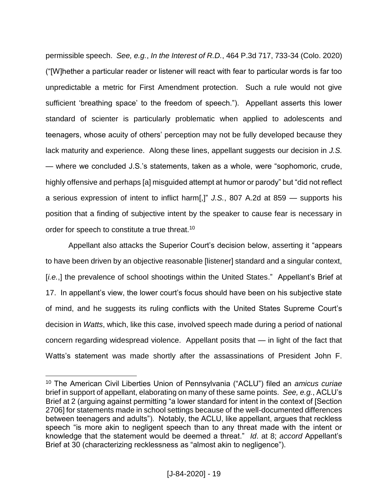permissible speech. *See, e.g.*, *In the Interest of R.D.*, 464 P.3d 717, 733-34 (Colo. 2020) ("[W]hether a particular reader or listener will react with fear to particular words is far too unpredictable a metric for First Amendment protection. Such a rule would not give sufficient 'breathing space' to the freedom of speech."). Appellant asserts this lower standard of scienter is particularly problematic when applied to adolescents and teenagers, whose acuity of others' perception may not be fully developed because they lack maturity and experience. Along these lines, appellant suggests our decision in *J.S.* — where we concluded J.S.'s statements, taken as a whole, were "sophomoric, crude, highly offensive and perhaps [a] misguided attempt at humor or parody" but "did not reflect a serious expression of intent to inflict harm[,]" *J.S.*, 807 A.2d at 859 — supports his position that a finding of subjective intent by the speaker to cause fear is necessary in order for speech to constitute a true threat.<sup>10</sup>

Appellant also attacks the Superior Court's decision below, asserting it "appears to have been driven by an objective reasonable [listener] standard and a singular context, [*i.e.*,] the prevalence of school shootings within the United States." Appellant's Brief at 17. In appellant's view, the lower court's focus should have been on his subjective state of mind, and he suggests its ruling conflicts with the United States Supreme Court's decision in *Watts*, which, like this case, involved speech made during a period of national concern regarding widespread violence. Appellant posits that — in light of the fact that Watts's statement was made shortly after the assassinations of President John F.

<sup>10</sup> The American Civil Liberties Union of Pennsylvania ("ACLU") filed an *amicus curiae* brief in support of appellant, elaborating on many of these same points. *See, e.g.*, ACLU's Brief at 2 (arguing against permitting "a lower standard for intent in the context of [Section 2706] for statements made in school settings because of the well-documented differences between teenagers and adults"). Notably, the ACLU, like appellant, argues that reckless speech "is more akin to negligent speech than to any threat made with the intent or knowledge that the statement would be deemed a threat." *Id*. at 8; *accord* Appellant's Brief at 30 (characterizing recklessness as "almost akin to negligence").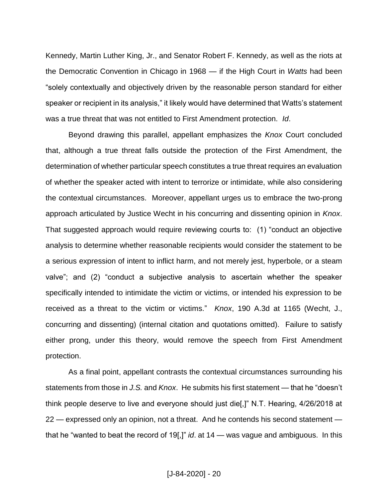Kennedy, Martin Luther King, Jr., and Senator Robert F. Kennedy, as well as the riots at the Democratic Convention in Chicago in 1968 — if the High Court in *Watts* had been "solely contextually and objectively driven by the reasonable person standard for either speaker or recipient in its analysis," it likely would have determined that Watts's statement was a true threat that was not entitled to First Amendment protection. *Id*.

Beyond drawing this parallel, appellant emphasizes the *Knox* Court concluded that, although a true threat falls outside the protection of the First Amendment, the determination of whether particular speech constitutes a true threat requires an evaluation of whether the speaker acted with intent to terrorize or intimidate, while also considering the contextual circumstances. Moreover, appellant urges us to embrace the two-prong approach articulated by Justice Wecht in his concurring and dissenting opinion in *Knox*. That suggested approach would require reviewing courts to: (1) "conduct an objective analysis to determine whether reasonable recipients would consider the statement to be a serious expression of intent to inflict harm, and not merely jest, hyperbole, or a steam valve"; and (2) "conduct a subjective analysis to ascertain whether the speaker specifically intended to intimidate the victim or victims, or intended his expression to be received as a threat to the victim or victims." *Knox*, 190 A.3d at 1165 (Wecht, J., concurring and dissenting) (internal citation and quotations omitted). Failure to satisfy either prong, under this theory, would remove the speech from First Amendment protection.

As a final point, appellant contrasts the contextual circumstances surrounding his statements from those in *J.S.* and *Knox*. He submits his first statement — that he "doesn't think people deserve to live and everyone should just die[,]" N.T. Hearing, 4/26/2018 at 22 — expressed only an opinion, not a threat. And he contends his second statement that he "wanted to beat the record of 19[,]" *id*. at 14 — was vague and ambiguous. In this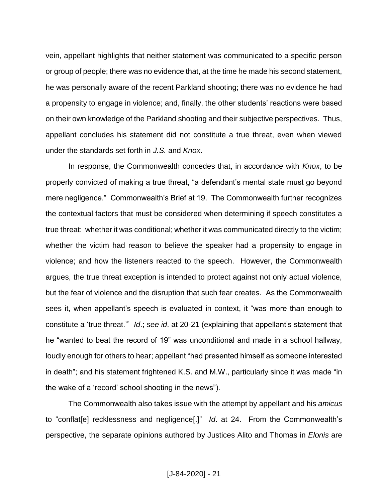vein, appellant highlights that neither statement was communicated to a specific person or group of people; there was no evidence that, at the time he made his second statement, he was personally aware of the recent Parkland shooting; there was no evidence he had a propensity to engage in violence; and, finally, the other students' reactions were based on their own knowledge of the Parkland shooting and their subjective perspectives. Thus, appellant concludes his statement did not constitute a true threat, even when viewed under the standards set forth in *J.S.* and *Knox*.

In response, the Commonwealth concedes that, in accordance with *Knox*, to be properly convicted of making a true threat, "a defendant's mental state must go beyond mere negligence." Commonwealth's Brief at 19. The Commonwealth further recognizes the contextual factors that must be considered when determining if speech constitutes a true threat: whether it was conditional; whether it was communicated directly to the victim; whether the victim had reason to believe the speaker had a propensity to engage in violence; and how the listeners reacted to the speech. However, the Commonwealth argues, the true threat exception is intended to protect against not only actual violence, but the fear of violence and the disruption that such fear creates. As the Commonwealth sees it, when appellant's speech is evaluated in context, it "was more than enough to constitute a 'true threat.'" *Id*.; *see id*. at 20-21 (explaining that appellant's statement that he "wanted to beat the record of 19" was unconditional and made in a school hallway, loudly enough for others to hear; appellant "had presented himself as someone interested in death"; and his statement frightened K.S. and M.W., particularly since it was made "in the wake of a 'record' school shooting in the news").

The Commonwealth also takes issue with the attempt by appellant and his *amicus*  to "conflat[e] recklessness and negligence[.]" *Id*. at 24. From the Commonwealth's perspective, the separate opinions authored by Justices Alito and Thomas in *Elonis* are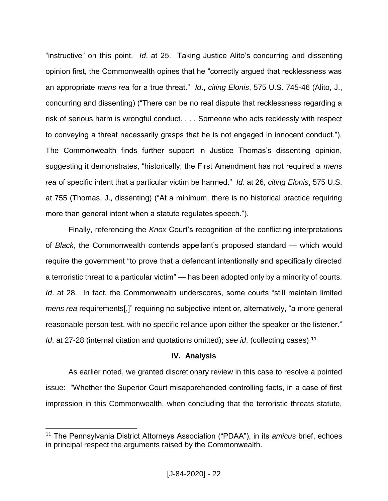"instructive" on this point. *Id*. at 25. Taking Justice Alito's concurring and dissenting opinion first, the Commonwealth opines that he "correctly argued that recklessness was an appropriate *mens rea* for a true threat." *Id*., *citing Elonis*, 575 U.S. 745-46 (Alito, J., concurring and dissenting) ("There can be no real dispute that recklessness regarding a risk of serious harm is wrongful conduct. . . . Someone who acts recklessly with respect to conveying a threat necessarily grasps that he is not engaged in innocent conduct."). The Commonwealth finds further support in Justice Thomas's dissenting opinion, suggesting it demonstrates, "historically, the First Amendment has not required a *mens rea* of specific intent that a particular victim be harmed." *Id*. at 26, *citing Elonis*, 575 U.S. at 755 (Thomas, J., dissenting) ("At a minimum, there is no historical practice requiring more than general intent when a statute regulates speech.").

Finally, referencing the *Knox* Court's recognition of the conflicting interpretations of *Black*, the Commonwealth contends appellant's proposed standard — which would require the government "to prove that a defendant intentionally and specifically directed a terroristic threat to a particular victim" — has been adopted only by a minority of courts. *Id*. at 28. In fact, the Commonwealth underscores, some courts "still maintain limited *mens rea* requirements[,]" requiring no subjective intent or, alternatively, "a more general reasonable person test, with no specific reliance upon either the speaker or the listener." *Id*. at 27-28 (internal citation and quotations omitted); *see id*. (collecting cases). 11

# **IV. Analysis**

As earlier noted, we granted discretionary review in this case to resolve a pointed issue: "Whether the Superior Court misapprehended controlling facts, in a case of first impression in this Commonwealth, when concluding that the terroristic threats statute,

<sup>11</sup> The Pennsylvania District Attorneys Association ("PDAA"), in its *amicus* brief, echoes in principal respect the arguments raised by the Commonwealth.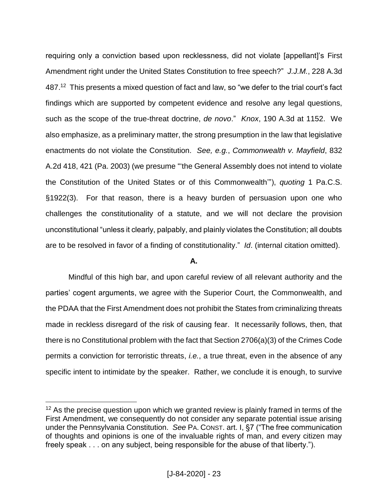requiring only a conviction based upon recklessness, did not violate [appellant]'s First Amendment right under the United States Constitution to free speech?" *J.J.M.*, 228 A.3d 487.<sup>12</sup> This presents a mixed question of fact and law, so "we defer to the trial court's fact findings which are supported by competent evidence and resolve any legal questions, such as the scope of the true-threat doctrine, *de novo*." *Knox*, 190 A.3d at 1152. We also emphasize, as a preliminary matter, the strong presumption in the law that legislative enactments do not violate the Constitution. *See, e.g.*, *Commonwealth v. Mayfield*, 832 A.2d 418, 421 (Pa. 2003) (we presume "'the General Assembly does not intend to violate the Constitution of the United States or of this Commonwealth'"), *quoting* 1 Pa.C.S. §1922(3). For that reason, there is a heavy burden of persuasion upon one who challenges the constitutionality of a statute, and we will not declare the provision unconstitutional "unless it clearly, palpably, and plainly violates the Constitution; all doubts are to be resolved in favor of a finding of constitutionality." *Id*. (internal citation omitted).

# **A.**

Mindful of this high bar, and upon careful review of all relevant authority and the parties' cogent arguments, we agree with the Superior Court, the Commonwealth, and the PDAA that the First Amendment does not prohibit the States from criminalizing threats made in reckless disregard of the risk of causing fear. It necessarily follows, then, that there is no Constitutional problem with the fact that Section 2706(a)(3) of the Crimes Code permits a conviction for terroristic threats, *i.e.*, a true threat, even in the absence of any specific intent to intimidate by the speaker. Rather, we conclude it is enough, to survive

 $12$  As the precise question upon which we granted review is plainly framed in terms of the First Amendment, we consequently do not consider any separate potential issue arising under the Pennsylvania Constitution. *See* PA. CONST. art. I, §7 ("The free communication of thoughts and opinions is one of the invaluable rights of man, and every citizen may freely speak . . . on any subject, being responsible for the abuse of that liberty.").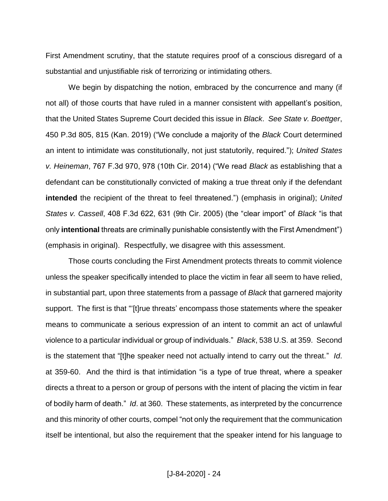First Amendment scrutiny, that the statute requires proof of a conscious disregard of a substantial and unjustifiable risk of terrorizing or intimidating others.

We begin by dispatching the notion, embraced by the concurrence and many (if not all) of those courts that have ruled in a manner consistent with appellant's position, that the United States Supreme Court decided this issue in *Black*. *See State v. Boettger*, 450 P.3d 805, 815 (Kan. 2019) ("We conclude a majority of the *Black* Court determined an intent to intimidate was constitutionally, not just statutorily, required."); *United States v. Heineman*, 767 F.3d 970, 978 (10th Cir. 2014) ("We read *Black* as establishing that a defendant can be constitutionally convicted of making a true threat only if the defendant **intended** the recipient of the threat to feel threatened.") (emphasis in original); *United States v. Cassell*, 408 F.3d 622, 631 (9th Cir. 2005) (the "clear import" of *Black* "is that only **intentional** threats are criminally punishable consistently with the First Amendment") (emphasis in original). Respectfully, we disagree with this assessment.

Those courts concluding the First Amendment protects threats to commit violence unless the speaker specifically intended to place the victim in fear all seem to have relied, in substantial part, upon three statements from a passage of *Black* that garnered majority support. The first is that "'[t]rue threats' encompass those statements where the speaker means to communicate a serious expression of an intent to commit an act of unlawful violence to a particular individual or group of individuals." *Black*, 538 U.S. at 359. Second is the statement that "[t]he speaker need not actually intend to carry out the threat." *Id*. at 359-60. And the third is that intimidation "is a type of true threat, where a speaker directs a threat to a person or group of persons with the intent of placing the victim in fear of bodily harm of death." *Id*. at 360. These statements, as interpreted by the concurrence and this minority of other courts, compel "not only the requirement that the communication itself be intentional, but also the requirement that the speaker intend for his language to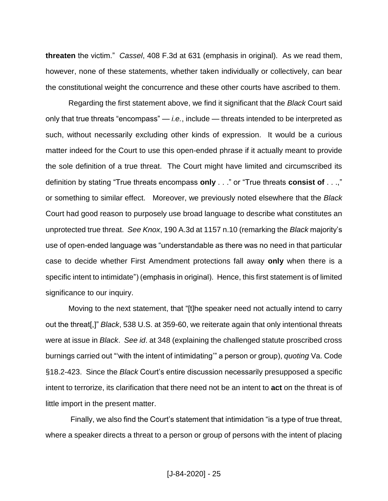**threaten** the victim." *Cassel*, 408 F.3d at 631 (emphasis in original). As we read them, however, none of these statements, whether taken individually or collectively, can bear the constitutional weight the concurrence and these other courts have ascribed to them.

Regarding the first statement above, we find it significant that the *Black* Court said only that true threats "encompass" — *i.e.*, include — threats intended to be interpreted as such, without necessarily excluding other kinds of expression. It would be a curious matter indeed for the Court to use this open-ended phrase if it actually meant to provide the sole definition of a true threat. The Court might have limited and circumscribed its definition by stating "True threats encompass **only** . . ." or "True threats **consist of** . . .," or something to similar effect. Moreover, we previously noted elsewhere that the *Black* Court had good reason to purposely use broad language to describe what constitutes an unprotected true threat. *See Knox*, 190 A.3d at 1157 n.10 (remarking the *Black* majority's use of open-ended language was "understandable as there was no need in that particular case to decide whether First Amendment protections fall away **only** when there is a specific intent to intimidate") (emphasis in original). Hence, this first statement is of limited significance to our inquiry.

Moving to the next statement, that "[t]he speaker need not actually intend to carry out the threat[,]" *Black*, 538 U.S. at 359-60, we reiterate again that only intentional threats were at issue in *Black*. *See id*. at 348 (explaining the challenged statute proscribed cross burnings carried out "'with the intent of intimidating'" a person or group), *quoting* Va. Code §18.2-423. Since the *Black* Court's entire discussion necessarily presupposed a specific intent to terrorize, its clarification that there need not be an intent to **act** on the threat is of little import in the present matter.

Finally, we also find the Court's statement that intimidation "is a type of true threat, where a speaker directs a threat to a person or group of persons with the intent of placing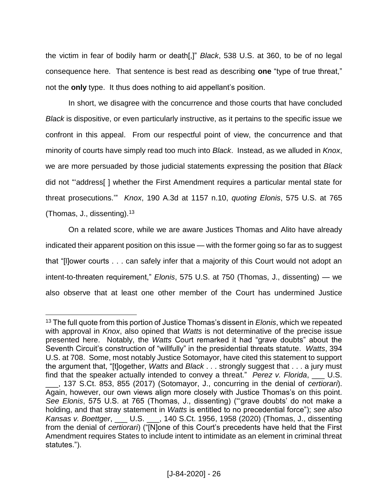the victim in fear of bodily harm or death[,]" *Black*, 538 U.S. at 360, to be of no legal consequence here. That sentence is best read as describing **one** "type of true threat," not the **only** type. It thus does nothing to aid appellant's position.

In short, we disagree with the concurrence and those courts that have concluded *Black* is dispositive, or even particularly instructive, as it pertains to the specific issue we confront in this appeal. From our respectful point of view, the concurrence and that minority of courts have simply read too much into *Black*. Instead, as we alluded in *Knox*, we are more persuaded by those judicial statements expressing the position that *Black*  did not "'address[ ] whether the First Amendment requires a particular mental state for threat prosecutions.'" *Knox*, 190 A.3d at 1157 n.10, *quoting Elonis*, 575 U.S. at 765 (Thomas, J., dissenting).  $13$ 

On a related score, while we are aware Justices Thomas and Alito have already indicated their apparent position on this issue — with the former going so far as to suggest that "[l]ower courts . . . can safely infer that a majority of this Court would not adopt an intent-to-threaten requirement," *Elonis*, 575 U.S. at 750 (Thomas, J., dissenting) — we also observe that at least one other member of the Court has undermined Justice

 $\overline{a}$ <sup>13</sup> The full quote from this portion of Justice Thomas's dissent in *Elonis*, which we repeated with approval in *Knox*, also opined that *Watts* is not determinative of the precise issue presented here. Notably, the *Watts* Court remarked it had "grave doubts" about the Seventh Circuit's construction of "willfully" in the presidential threats statute. *Watts*, 394 U.S. at 708. Some, most notably Justice Sotomayor, have cited this statement to support the argument that, "[t]ogether, *Watts* and *Black* . . . strongly suggest that . . . a jury must find that the speaker actually intended to convey a threat." *Perez v. Florida*, U.S.

\_\_\_, 137 S.Ct. 853, 855 (2017) (Sotomayor, J., concurring in the denial of *certiorari*). Again, however, our own views align more closely with Justice Thomas's on this point. *See Elonis*, 575 U.S. at 765 (Thomas, J., dissenting) ("'grave doubts' do not make a holding, and that stray statement in *Watts* is entitled to no precedential force"); *see also Kansas v. Boettger*, \_\_\_ U.S. \_\_\_, 140 S.Ct. 1956, 1958 (2020) (Thomas, J., dissenting from the denial of *certiorari*) ("[N]one of this Court's precedents have held that the First Amendment requires States to include intent to intimidate as an element in criminal threat statutes.").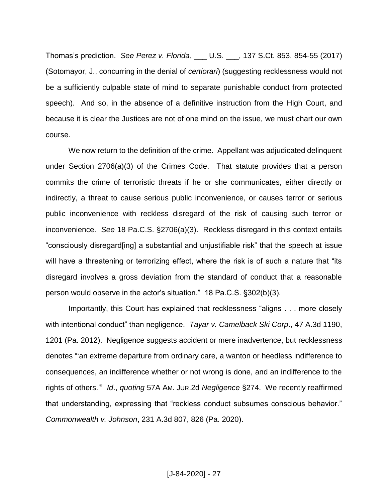Thomas's prediction. *See Perez v. Florida*, \_\_\_ U.S. \_\_\_, 137 S.Ct. 853, 854-55 (2017) (Sotomayor, J., concurring in the denial of *certiorari*) (suggesting recklessness would not be a sufficiently culpable state of mind to separate punishable conduct from protected speech). And so, in the absence of a definitive instruction from the High Court, and because it is clear the Justices are not of one mind on the issue, we must chart our own course.

We now return to the definition of the crime. Appellant was adjudicated delinquent under Section 2706(a)(3) of the Crimes Code. That statute provides that a person commits the crime of terroristic threats if he or she communicates, either directly or indirectly, a threat to cause serious public inconvenience, or causes terror or serious public inconvenience with reckless disregard of the risk of causing such terror or inconvenience. *See* 18 Pa.C.S. §2706(a)(3). Reckless disregard in this context entails "consciously disregard[ing] a substantial and unjustifiable risk" that the speech at issue will have a threatening or terrorizing effect, where the risk is of such a nature that "its disregard involves a gross deviation from the standard of conduct that a reasonable person would observe in the actor's situation." 18 Pa.C.S. §302(b)(3).

Importantly, this Court has explained that recklessness "aligns . . . more closely with intentional conduct" than negligence. *Tayar v. Camelback Ski Corp*., 47 A.3d 1190, 1201 (Pa. 2012). Negligence suggests accident or mere inadvertence, but recklessness denotes "'an extreme departure from ordinary care, a wanton or heedless indifference to consequences, an indifference whether or not wrong is done, and an indifference to the rights of others.'" *Id*., *quoting* 57A AM. JUR.2d *Negligence* §274. We recently reaffirmed that understanding, expressing that "reckless conduct subsumes conscious behavior." *Commonwealth v. Johnson*, 231 A.3d 807, 826 (Pa. 2020).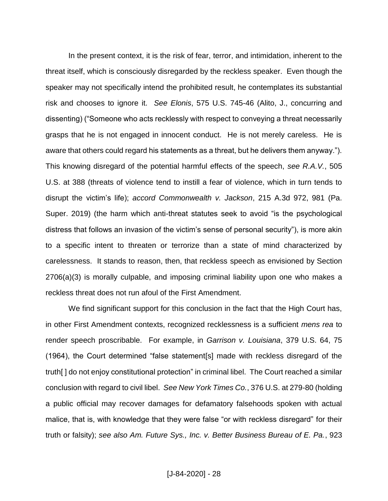In the present context, it is the risk of fear, terror, and intimidation, inherent to the threat itself, which is consciously disregarded by the reckless speaker. Even though the speaker may not specifically intend the prohibited result, he contemplates its substantial risk and chooses to ignore it. *See Elonis*, 575 U.S. 745-46 (Alito, J., concurring and dissenting) ("Someone who acts recklessly with respect to conveying a threat necessarily grasps that he is not engaged in innocent conduct. He is not merely careless. He is aware that others could regard his statements as a threat, but he delivers them anyway."). This knowing disregard of the potential harmful effects of the speech, *see R.A.V.*, 505 U.S. at 388 (threats of violence tend to instill a fear of violence, which in turn tends to disrupt the victim's life); *accord Commonwealth v. Jackson*, 215 A.3d 972, 981 (Pa. Super. 2019) (the harm which anti-threat statutes seek to avoid "is the psychological distress that follows an invasion of the victim's sense of personal security"), is more akin to a specific intent to threaten or terrorize than a state of mind characterized by carelessness. It stands to reason, then, that reckless speech as envisioned by Section 2706(a)(3) is morally culpable, and imposing criminal liability upon one who makes a reckless threat does not run afoul of the First Amendment.

We find significant support for this conclusion in the fact that the High Court has, in other First Amendment contexts, recognized recklessness is a sufficient *mens rea* to render speech proscribable. For example, in *Garrison v. Louisiana*, 379 U.S. 64, 75 (1964), the Court determined "false statement[s] made with reckless disregard of the truth[ ] do not enjoy constitutional protection" in criminal libel. The Court reached a similar conclusion with regard to civil libel. *See New York Times Co.*, 376 U.S. at 279-80 (holding a public official may recover damages for defamatory falsehoods spoken with actual malice, that is, with knowledge that they were false "or with reckless disregard" for their truth or falsity); *see also Am. Future Sys., Inc. v. Better Business Bureau of E. Pa.*, 923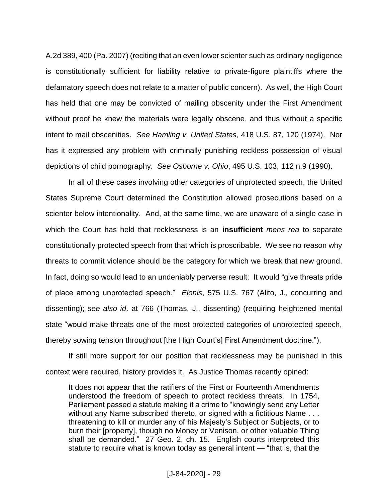A.2d 389, 400 (Pa. 2007) (reciting that an even lower scienter such as ordinary negligence is constitutionally sufficient for liability relative to private-figure plaintiffs where the defamatory speech does not relate to a matter of public concern). As well, the High Court has held that one may be convicted of mailing obscenity under the First Amendment without proof he knew the materials were legally obscene, and thus without a specific intent to mail obscenities. *See Hamling v. United States*, 418 U.S. 87, 120 (1974). Nor has it expressed any problem with criminally punishing reckless possession of visual depictions of child pornography. *See Osborne v. Ohio*, 495 U.S. 103, 112 n.9 (1990).

In all of these cases involving other categories of unprotected speech, the United States Supreme Court determined the Constitution allowed prosecutions based on a scienter below intentionality. And, at the same time, we are unaware of a single case in which the Court has held that recklessness is an **insufficient** *mens rea* to separate constitutionally protected speech from that which is proscribable. We see no reason why threats to commit violence should be the category for which we break that new ground. In fact, doing so would lead to an undeniably perverse result: It would "give threats pride of place among unprotected speech." *Elonis*, 575 U.S. 767 (Alito, J., concurring and dissenting); *see also id*. at 766 (Thomas, J., dissenting) (requiring heightened mental state "would make threats one of the most protected categories of unprotected speech, thereby sowing tension throughout [the High Court's] First Amendment doctrine.").

If still more support for our position that recklessness may be punished in this context were required, history provides it. As Justice Thomas recently opined:

It does not appear that the ratifiers of the First or Fourteenth Amendments understood the freedom of speech to protect reckless threats. In 1754, Parliament passed a statute making it a crime to "knowingly send any Letter without any Name subscribed thereto, or signed with a fictitious Name . . . threatening to kill or murder any of his Majesty's Subject or Subjects, or to burn their [property], though no Money or Venison, or other valuable Thing shall be demanded." 27 Geo. 2, ch. 15. English courts interpreted this statute to require what is known today as general intent — "that is, that the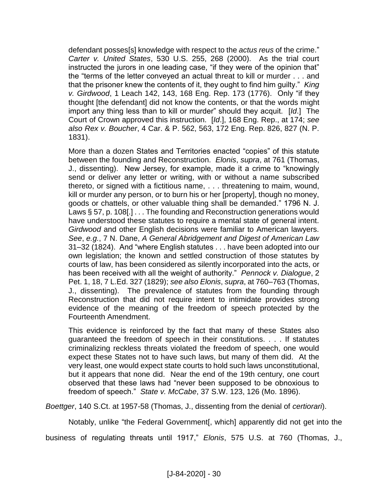defendant posses[s] knowledge with respect to the *actus reus* of the crime." *Carter v. United States*, 530 U.S. 255, 268 (2000). As the trial court instructed the jurors in one leading case, "if they were of the opinion that" the "terms of the letter conveyed an actual threat to kill or murder . . . and that the prisoner knew the contents of it, they ought to find him guilty." *King v. Girdwood*, 1 Leach 142, 143, 168 Eng. Rep. 173 (1776). Only "if they thought [the defendant] did not know the contents, or that the words might import any thing less than to kill or murder" should they acquit. [*Id*.] The Court of Crown approved this instruction. [*Id*.], 168 Eng. Rep., at 174; *see also Rex v. Boucher*, 4 Car. & P. 562, 563, 172 Eng. Rep. 826, 827 (N. P. 1831).

More than a dozen States and Territories enacted "copies" of this statute between the founding and Reconstruction. *Elonis*, *supra*, at 761 (Thomas, J., dissenting). New Jersey, for example, made it a crime to "knowingly send or deliver any letter or writing, with or without a name subscribed thereto, or signed with a fictitious name, . . . threatening to maim, wound, kill or murder any person, or to burn his or her [property], though no money, goods or chattels, or other valuable thing shall be demanded." 1796 N. J. Laws § 57, p. 108[.] . . . The founding and Reconstruction generations would have understood these statutes to require a mental state of general intent. *Girdwood* and other English decisions were familiar to American lawyers. *See*, *e.g.*, 7 N. Dane, *A General Abridgement and Digest of American Law* 31–32 (1824). And "where English statutes . . . have been adopted into our own legislation; the known and settled construction of those statutes by courts of law, has been considered as silently incorporated into the acts, or has been received with all the weight of authority." *Pennock v. Dialogue*, 2 Pet. 1, 18, 7 L.Ed. 327 (1829); *see also Elonis*, *supra*, at 760–763 (Thomas, J., dissenting). The prevalence of statutes from the founding through Reconstruction that did not require intent to intimidate provides strong evidence of the meaning of the freedom of speech protected by the Fourteenth Amendment.

This evidence is reinforced by the fact that many of these States also guaranteed the freedom of speech in their constitutions. . . . If statutes criminalizing reckless threats violated the freedom of speech, one would expect these States not to have such laws, but many of them did. At the very least, one would expect state courts to hold such laws unconstitutional, but it appears that none did. Near the end of the 19th century, one court observed that these laws had "never been supposed to be obnoxious to freedom of speech." *State v. McCabe*, 37 S.W. 123, 126 (Mo. 1896).

*Boettger*, 140 S.Ct. at 1957-58 (Thomas, J., dissenting from the denial of *certiorari*).

Notably, unlike "the Federal Government[, which] apparently did not get into the

business of regulating threats until 1917," *Elonis*, 575 U.S. at 760 (Thomas, J.,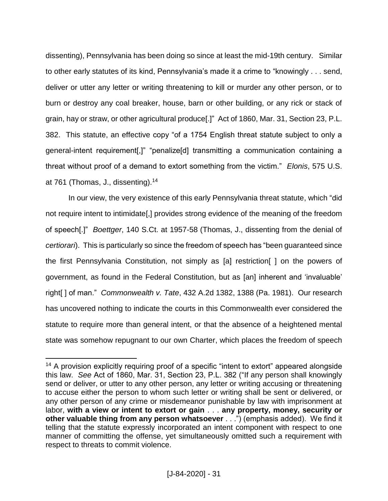dissenting), Pennsylvania has been doing so since at least the mid-19th century. Similar to other early statutes of its kind, Pennsylvania's made it a crime to "knowingly . . . send, deliver or utter any letter or writing threatening to kill or murder any other person, or to burn or destroy any coal breaker, house, barn or other building, or any rick or stack of grain, hay or straw, or other agricultural produce[.]" Act of 1860, Mar. 31, Section 23, P.L. 382. This statute, an effective copy "of a 1754 English threat statute subject to only a general-intent requirement[,]" "penalize[d] transmitting a communication containing a threat without proof of a demand to extort something from the victim." *Elonis*, 575 U.S. at 761 (Thomas, J., dissenting).<sup>14</sup>

In our view, the very existence of this early Pennsylvania threat statute, which "did not require intent to intimidate[,] provides strong evidence of the meaning of the freedom of speech[.]" *Boettger*, 140 S.Ct. at 1957-58 (Thomas, J., dissenting from the denial of *certiorari*). This is particularly so since the freedom of speech has "been guaranteed since the first Pennsylvania Constitution, not simply as [a] restriction[ ] on the powers of government, as found in the Federal Constitution, but as [an] inherent and 'invaluable' right[ ] of man." *Commonwealth v. Tate*, 432 A.2d 1382, 1388 (Pa. 1981). Our research has uncovered nothing to indicate the courts in this Commonwealth ever considered the statute to require more than general intent, or that the absence of a heightened mental state was somehow repugnant to our own Charter, which places the freedom of speech

<sup>&</sup>lt;sup>14</sup> A provision explicitly requiring proof of a specific "intent to extort" appeared alongside this law. *See* Act of 1860, Mar. 31, Section 23, P.L. 382 ("If any person shall knowingly send or deliver, or utter to any other person, any letter or writing accusing or threatening to accuse either the person to whom such letter or writing shall be sent or delivered, or any other person of any crime or misdemeanor punishable by law with imprisonment at labor, **with a view or intent to extort or gain** . . . **any property, money, security or other valuable thing from any person whatsoever** . . .") (emphasis added). We find it telling that the statute expressly incorporated an intent component with respect to one manner of committing the offense, yet simultaneously omitted such a requirement with respect to threats to commit violence.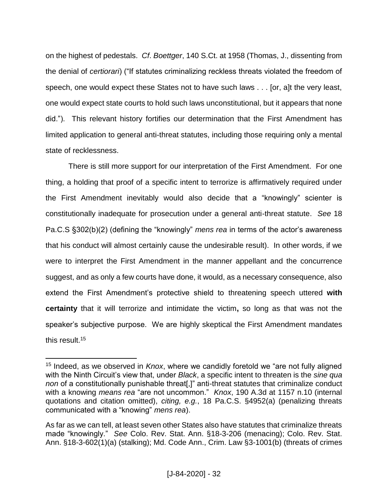on the highest of pedestals. *Cf*. *Boettger*, 140 S.Ct. at 1958 (Thomas, J., dissenting from the denial of *certiorari*) ("If statutes criminalizing reckless threats violated the freedom of speech, one would expect these States not to have such laws . . . [or, a]t the very least, one would expect state courts to hold such laws unconstitutional, but it appears that none did."). This relevant history fortifies our determination that the First Amendment has limited application to general anti-threat statutes, including those requiring only a mental state of recklessness.

There is still more support for our interpretation of the First Amendment. For one thing, a holding that proof of a specific intent to terrorize is affirmatively required under the First Amendment inevitably would also decide that a "knowingly" scienter is constitutionally inadequate for prosecution under a general anti-threat statute. *See* 18 Pa.C.S §302(b)(2) (defining the "knowingly" *mens rea* in terms of the actor's awareness that his conduct will almost certainly cause the undesirable result). In other words, if we were to interpret the First Amendment in the manner appellant and the concurrence suggest, and as only a few courts have done, it would, as a necessary consequence, also extend the First Amendment's protective shield to threatening speech uttered **with certainty** that it will terrorize and intimidate the victim**,** so long as that was not the speaker's subjective purpose. We are highly skeptical the First Amendment mandates this result.<sup>15</sup>

<sup>15</sup> Indeed, as we observed in *Knox*, where we candidly foretold we "are not fully aligned with the Ninth Circuit's view that, under *Black*, a specific intent to threaten is the *sine qua non* of a constitutionally punishable threat[,]" anti-threat statutes that criminalize conduct with a knowing *means rea* "are not uncommon." *Knox*, 190 A.3d at 1157 n.10 (internal quotations and citation omitted), *citing, e.g.*, 18 Pa.C.S. §4952(a) (penalizing threats communicated with a "knowing" *mens rea*).

As far as we can tell, at least seven other States also have statutes that criminalize threats made "knowingly." *See* Colo. Rev. Stat. Ann. §18-3-206 (menacing); Colo. Rev. Stat. Ann. §18-3-602(1)(a) (stalking); Md. Code Ann., Crim. Law §3-1001(b) (threats of crimes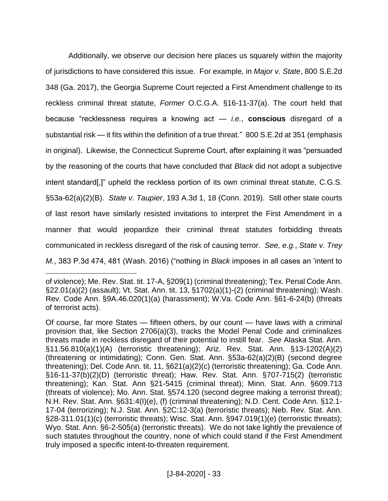Additionally, we observe our decision here places us squarely within the majority of jurisdictions to have considered this issue. For example, in *Major v. State*, 800 S.E.2d 348 (Ga. 2017), the Georgia Supreme Court rejected a First Amendment challenge to its reckless criminal threat statute, *Former* O.C.G.A. §16-11-37(a). The court held that because "recklessness requires a knowing act — *i.e.*, **conscious** disregard of a substantial risk — it fits within the definition of a true threat." 800 S.E.2d at 351 (emphasis in original). Likewise, the Connecticut Supreme Court, after explaining it was "persuaded by the reasoning of the courts that have concluded that *Black* did not adopt a subjective intent standard[,]" upheld the reckless portion of its own criminal threat statute, C.G.S. §53a-62(a)(2)(B). *State v. Taupier*, 193 A.3d 1, 18 (Conn. 2019). Still other state courts of last resort have similarly resisted invitations to interpret the First Amendment in a manner that would jeopardize their criminal threat statutes forbidding threats communicated in reckless disregard of the risk of causing terror. *See, e.g.*, *State v. Trey M.*, 383 P.3d 474, 481 (Wash. 2016) ("nothing in *Black* imposes in all cases an 'intent to

of violence); Me. Rev. Stat. tit. 17-A, §209(1) (criminal threatening); Tex. Penal Code Ann. §22.01(a)(2) (assault); Vt. Stat. Ann. tit. 13, §1702(a)(1)-(2) (criminal threatening); Wash. Rev. Code Ann. §9A.46.020(1)(a) (harassment); W.Va. Code Ann. §61-6-24(b) (threats of terrorist acts).

Of course, far more States — fifteen others, by our count — have laws with a criminal provision that, like Section 2706(a)(3), tracks the Model Penal Code and criminalizes threats made in reckless disregard of their potential to instill fear. *See* Alaska Stat. Ann. §11.56.810(a)(1)(A) (terroristic threatening); Ariz. Rev. Stat. Ann. §13-1202(A)(2) (threatening or intimidating); Conn. Gen. Stat. Ann. §53a-62(a)(2)(B) (second degree threatening); Del. Code Ann. tit. 11, §621(a)(2)(c) (terroristic threatening); Ga. Code Ann. §16-11-37(b)(2)(D) (terroristic threat); Haw. Rev. Stat. Ann. §707-715(2) (terroristic threatening); Kan. Stat. Ann §21-5415 (criminal threat); Minn. Stat. Ann. §609.713 (threats of violence); Mo. Ann. Stat. §574.120 (second degree making a terrorist threat); N.H. Rev. Stat. Ann. §631:4(I)(e), (f) (criminal threatening); N.D. Cent. Code Ann. §12.1- 17-04 (terrorizing); N.J. Stat. Ann. §2C:12-3(a) (terroristic threats); Neb. Rev. Stat. Ann. §28-311.01(1)(c) (terroristic threats); Wisc. Stat. Ann. §947.019(1)(e) (terroristic threats); Wyo. Stat. Ann. §6-2-505(a) (terroristic threats). We do not take lightly the prevalence of such statutes throughout the country, none of which could stand if the First Amendment truly imposed a specific intent-to-threaten requirement.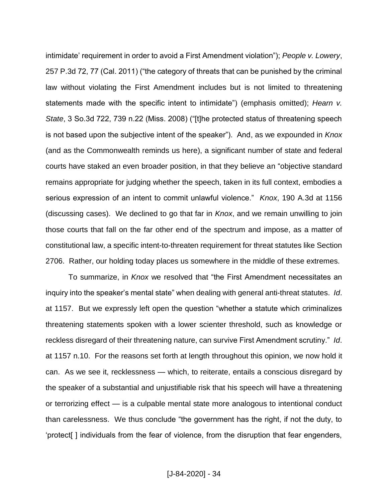intimidate' requirement in order to avoid a First Amendment violation"); *People v. Lowery*, 257 P.3d 72, 77 (Cal. 2011) ("the category of threats that can be punished by the criminal law without violating the First Amendment includes but is not limited to threatening statements made with the specific intent to intimidate") (emphasis omitted); *Hearn v. State*, 3 So.3d 722, 739 n.22 (Miss. 2008) ("[t]he protected status of threatening speech is not based upon the subjective intent of the speaker"). And, as we expounded in *Knox*  (and as the Commonwealth reminds us here), a significant number of state and federal courts have staked an even broader position, in that they believe an "objective standard remains appropriate for judging whether the speech, taken in its full context, embodies a serious expression of an intent to commit unlawful violence." *Knox*, 190 A.3d at 1156 (discussing cases). We declined to go that far in *Knox*, and we remain unwilling to join those courts that fall on the far other end of the spectrum and impose, as a matter of constitutional law, a specific intent-to-threaten requirement for threat statutes like Section 2706. Rather, our holding today places us somewhere in the middle of these extremes.

To summarize, in *Knox* we resolved that "the First Amendment necessitates an inquiry into the speaker's mental state" when dealing with general anti-threat statutes. *Id*. at 1157. But we expressly left open the question "whether a statute which criminalizes threatening statements spoken with a lower scienter threshold, such as knowledge or reckless disregard of their threatening nature, can survive First Amendment scrutiny." *Id*. at 1157 n.10. For the reasons set forth at length throughout this opinion, we now hold it can. As we see it, recklessness — which, to reiterate, entails a conscious disregard by the speaker of a substantial and unjustifiable risk that his speech will have a threatening or terrorizing effect — is a culpable mental state more analogous to intentional conduct than carelessness. We thus conclude "the government has the right, if not the duty, to 'protect[ ] individuals from the fear of violence, from the disruption that fear engenders,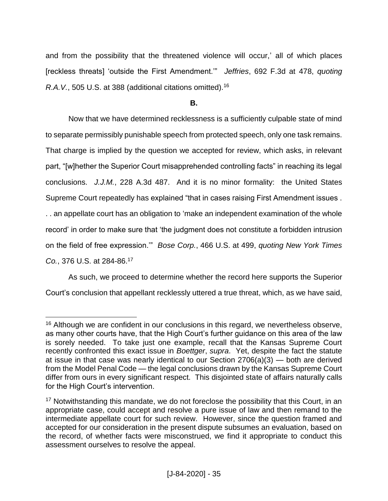and from the possibility that the threatened violence will occur,' all of which places [reckless threats] 'outside the First Amendment.'" *Jeffries*, 692 F.3d at 478, *quoting R.A.V.*, 505 U.S. at 388 (additional citations omitted).<sup>16</sup>

**B.**

Now that we have determined recklessness is a sufficiently culpable state of mind to separate permissibly punishable speech from protected speech, only one task remains. That charge is implied by the question we accepted for review, which asks, in relevant part, "[w]hether the Superior Court misapprehended controlling facts" in reaching its legal conclusions. *J.J.M.*, 228 A.3d 487. And it is no minor formality: the United States Supreme Court repeatedly has explained "that in cases raising First Amendment issues . . . an appellate court has an obligation to 'make an independent examination of the whole record' in order to make sure that 'the judgment does not constitute a forbidden intrusion on the field of free expression.'" *Bose Corp.*, 466 U.S. at 499, *quoting New York Times Co.*, 376 U.S. at 284-86.<sup>17</sup>

As such, we proceed to determine whether the record here supports the Superior Court's conclusion that appellant recklessly uttered a true threat, which, as we have said,

 $\overline{a}$ <sup>16</sup> Although we are confident in our conclusions in this regard, we nevertheless observe, as many other courts have, that the High Court's further guidance on this area of the law is sorely needed. To take just one example, recall that the Kansas Supreme Court recently confronted this exact issue in *Boettger*, *supra*. Yet, despite the fact the statute at issue in that case was nearly identical to our Section 2706(a)(3) — both are derived from the Model Penal Code — the legal conclusions drawn by the Kansas Supreme Court differ from ours in every significant respect. This disjointed state of affairs naturally calls for the High Court's intervention.

<sup>&</sup>lt;sup>17</sup> Notwithstanding this mandate, we do not foreclose the possibility that this Court, in an appropriate case, could accept and resolve a pure issue of law and then remand to the intermediate appellate court for such review. However, since the question framed and accepted for our consideration in the present dispute subsumes an evaluation, based on the record, of whether facts were misconstrued, we find it appropriate to conduct this assessment ourselves to resolve the appeal.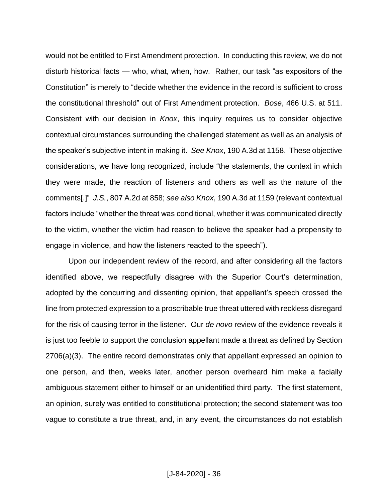would not be entitled to First Amendment protection. In conducting this review, we do not disturb historical facts — who, what, when, how. Rather, our task "as expositors of the Constitution" is merely to "decide whether the evidence in the record is sufficient to cross the constitutional threshold" out of First Amendment protection. *Bose*, 466 U.S. at 511. Consistent with our decision in *Knox*, this inquiry requires us to consider objective contextual circumstances surrounding the challenged statement as well as an analysis of the speaker's subjective intent in making it. *See Knox*, 190 A.3d at 1158. These objective considerations, we have long recognized, include "the statements, the context in which they were made, the reaction of listeners and others as well as the nature of the comments[.]" *J.S.*, 807 A.2d at 858; *see also Knox*, 190 A.3d at 1159 (relevant contextual factors include "whether the threat was conditional, whether it was communicated directly to the victim, whether the victim had reason to believe the speaker had a propensity to engage in violence, and how the listeners reacted to the speech").

Upon our independent review of the record, and after considering all the factors identified above, we respectfully disagree with the Superior Court's determination, adopted by the concurring and dissenting opinion, that appellant's speech crossed the line from protected expression to a proscribable true threat uttered with reckless disregard for the risk of causing terror in the listener. Our *de novo* review of the evidence reveals it is just too feeble to support the conclusion appellant made a threat as defined by Section 2706(a)(3). The entire record demonstrates only that appellant expressed an opinion to one person, and then, weeks later, another person overheard him make a facially ambiguous statement either to himself or an unidentified third party. The first statement, an opinion, surely was entitled to constitutional protection; the second statement was too vague to constitute a true threat, and, in any event, the circumstances do not establish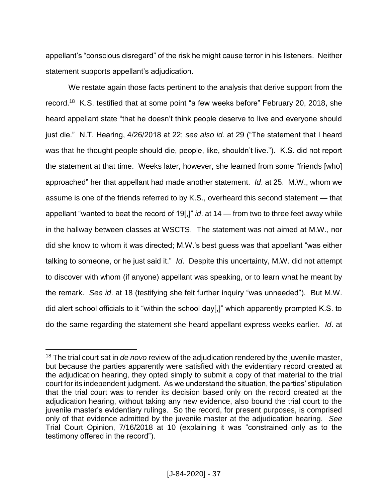appellant's "conscious disregard" of the risk he might cause terror in his listeners. Neither statement supports appellant's adjudication.

We restate again those facts pertinent to the analysis that derive support from the record.<sup>18</sup> K.S. testified that at some point "a few weeks before" February 20, 2018, she heard appellant state "that he doesn't think people deserve to live and everyone should just die." N.T. Hearing, 4/26/2018 at 22; *see also id*. at 29 ("The statement that I heard was that he thought people should die, people, like, shouldn't live."). K.S. did not report the statement at that time. Weeks later, however, she learned from some "friends [who] approached" her that appellant had made another statement. *Id*. at 25. M.W., whom we assume is one of the friends referred to by K.S., overheard this second statement — that appellant "wanted to beat the record of 19[,]" *id*. at 14 — from two to three feet away while in the hallway between classes at WSCTS. The statement was not aimed at M.W., nor did she know to whom it was directed; M.W.'s best guess was that appellant "was either talking to someone, or he just said it." *Id*. Despite this uncertainty, M.W. did not attempt to discover with whom (if anyone) appellant was speaking, or to learn what he meant by the remark. *See id*. at 18 (testifying she felt further inquiry "was unneeded"). But M.W. did alert school officials to it "within the school day[,]" which apparently prompted K.S. to do the same regarding the statement she heard appellant express weeks earlier. *Id*. at

<sup>18</sup> The trial court sat in *de novo* review of the adjudication rendered by the juvenile master, but because the parties apparently were satisfied with the evidentiary record created at the adjudication hearing, they opted simply to submit a copy of that material to the trial court for its independent judgment. As we understand the situation, the parties' stipulation that the trial court was to render its decision based only on the record created at the adjudication hearing, without taking any new evidence, also bound the trial court to the juvenile master's evidentiary rulings. So the record, for present purposes, is comprised only of that evidence admitted by the juvenile master at the adjudication hearing. *See*  Trial Court Opinion, 7/16/2018 at 10 (explaining it was "constrained only as to the testimony offered in the record").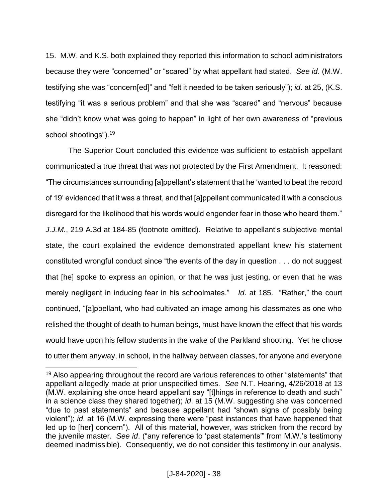15. M.W. and K.S. both explained they reported this information to school administrators because they were "concerned" or "scared" by what appellant had stated. *See id*. (M.W. testifying she was "concern[ed]" and "felt it needed to be taken seriously"); *id*. at 25, (K.S. testifying "it was a serious problem" and that she was "scared" and "nervous" because she "didn't know what was going to happen" in light of her own awareness of "previous school shootings").<sup>19</sup>

The Superior Court concluded this evidence was sufficient to establish appellant communicated a true threat that was not protected by the First Amendment. It reasoned: "The circumstances surrounding [a]ppellant's statement that he 'wanted to beat the record of 19' evidenced that it was a threat, and that [a]ppellant communicated it with a conscious disregard for the likelihood that his words would engender fear in those who heard them." *J.J.M.*, 219 A.3d at 184-85 (footnote omitted). Relative to appellant's subjective mental state, the court explained the evidence demonstrated appellant knew his statement constituted wrongful conduct since "the events of the day in question . . . do not suggest that [he] spoke to express an opinion, or that he was just jesting, or even that he was merely negligent in inducing fear in his schoolmates." *Id*. at 185. "Rather," the court continued, "[a]ppellant, who had cultivated an image among his classmates as one who relished the thought of death to human beings, must have known the effect that his words would have upon his fellow students in the wake of the Parkland shooting. Yet he chose to utter them anyway, in school, in the hallway between classes, for anyone and everyone

<sup>&</sup>lt;sup>19</sup> Also appearing throughout the record are various references to other "statements" that appellant allegedly made at prior unspecified times. *See* N.T. Hearing, 4/26/2018 at 13 (M.W. explaining she once heard appellant say "[t]hings in reference to death and such" in a science class they shared together); *id*. at 15 (M.W. suggesting she was concerned "due to past statements" and because appellant had "shown signs of possibly being violent"); *id*. at 16 (M.W. expressing there were "past instances that have happened that led up to [her] concern"). All of this material, however, was stricken from the record by the juvenile master. *See id*. ("any reference to 'past statements'" from M.W.'s testimony deemed inadmissible). Consequently, we do not consider this testimony in our analysis.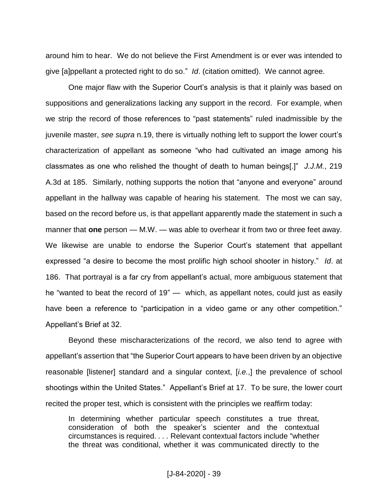around him to hear. We do not believe the First Amendment is or ever was intended to give [a]ppellant a protected right to do so." *Id*. (citation omitted). We cannot agree.

One major flaw with the Superior Court's analysis is that it plainly was based on suppositions and generalizations lacking any support in the record. For example, when we strip the record of those references to "past statements" ruled inadmissible by the juvenile master, *see supra* n.19, there is virtually nothing left to support the lower court's characterization of appellant as someone "who had cultivated an image among his classmates as one who relished the thought of death to human beings[.]" *J.J.M.*, 219 A.3d at 185. Similarly, nothing supports the notion that "anyone and everyone" around appellant in the hallway was capable of hearing his statement. The most we can say, based on the record before us, is that appellant apparently made the statement in such a manner that **one** person — M.W. — was able to overhear it from two or three feet away. We likewise are unable to endorse the Superior Court's statement that appellant expressed "a desire to become the most prolific high school shooter in history." *Id*. at 186. That portrayal is a far cry from appellant's actual, more ambiguous statement that he "wanted to beat the record of 19" — which, as appellant notes, could just as easily have been a reference to "participation in a video game or any other competition." Appellant's Brief at 32.

Beyond these mischaracterizations of the record, we also tend to agree with appellant's assertion that "the Superior Court appears to have been driven by an objective reasonable [listener] standard and a singular context, [*i.e.*,] the prevalence of school shootings within the United States." Appellant's Brief at 17. To be sure, the lower court recited the proper test, which is consistent with the principles we reaffirm today:

In determining whether particular speech constitutes a true threat, consideration of both the speaker's scienter and the contextual circumstances is required. *. . .* Relevant contextual factors include "whether the threat was conditional, whether it was communicated directly to the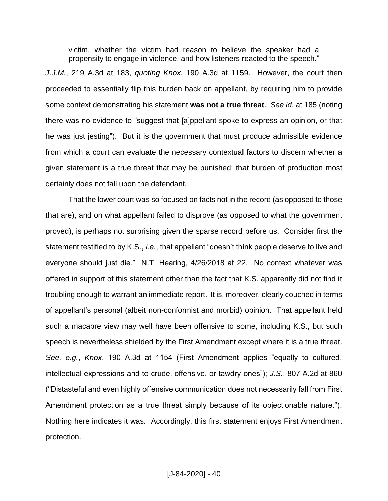victim, whether the victim had reason to believe the speaker had a propensity to engage in violence, and how listeners reacted to the speech."

*J.J.M.*, 219 A.3d at 183, *quoting Knox*, 190 A.3d at 1159. However, the court then proceeded to essentially flip this burden back on appellant, by requiring him to provide some context demonstrating his statement **was not a true threat**. *See id*. at 185 (noting there was no evidence to "suggest that [a]ppellant spoke to express an opinion, or that he was just jesting"). But it is the government that must produce admissible evidence from which a court can evaluate the necessary contextual factors to discern whether a given statement is a true threat that may be punished; that burden of production most certainly does not fall upon the defendant.

That the lower court was so focused on facts not in the record (as opposed to those that are), and on what appellant failed to disprove (as opposed to what the government proved), is perhaps not surprising given the sparse record before us. Consider first the statement testified to by K.S., *i.e.*, that appellant "doesn't think people deserve to live and everyone should just die." N.T. Hearing, 4/26/2018 at 22. No context whatever was offered in support of this statement other than the fact that K.S. apparently did not find it troubling enough to warrant an immediate report. It is, moreover, clearly couched in terms of appellant's personal (albeit non-conformist and morbid) opinion. That appellant held such a macabre view may well have been offensive to some, including K.S., but such speech is nevertheless shielded by the First Amendment except where it is a true threat. *See, e.g.*, *Knox*, 190 A.3d at 1154 (First Amendment applies "equally to cultured, intellectual expressions and to crude, offensive, or tawdry ones"); *J.S.*, 807 A.2d at 860 ("Distasteful and even highly offensive communication does not necessarily fall from First Amendment protection as a true threat simply because of its objectionable nature."). Nothing here indicates it was. Accordingly, this first statement enjoys First Amendment protection.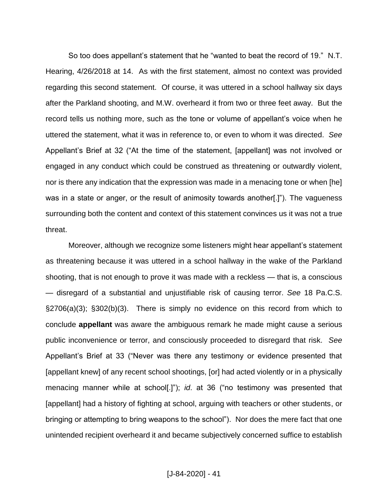So too does appellant's statement that he "wanted to beat the record of 19." N.T. Hearing, 4/26/2018 at 14. As with the first statement, almost no context was provided regarding this second statement. Of course, it was uttered in a school hallway six days after the Parkland shooting, and M.W. overheard it from two or three feet away. But the record tells us nothing more, such as the tone or volume of appellant's voice when he uttered the statement, what it was in reference to, or even to whom it was directed. *See*  Appellant's Brief at 32 ("At the time of the statement, [appellant] was not involved or engaged in any conduct which could be construed as threatening or outwardly violent, nor is there any indication that the expression was made in a menacing tone or when [he] was in a state or anger, or the result of animosity towards another[.]"). The vagueness surrounding both the content and context of this statement convinces us it was not a true threat.

Moreover, although we recognize some listeners might hear appellant's statement as threatening because it was uttered in a school hallway in the wake of the Parkland shooting, that is not enough to prove it was made with a reckless — that is, a conscious — disregard of a substantial and unjustifiable risk of causing terror. *See* 18 Pa.C.S. §2706(a)(3); §302(b)(3). There is simply no evidence on this record from which to conclude **appellant** was aware the ambiguous remark he made might cause a serious public inconvenience or terror, and consciously proceeded to disregard that risk. *See*  Appellant's Brief at 33 ("Never was there any testimony or evidence presented that [appellant knew] of any recent school shootings, [or] had acted violently or in a physically menacing manner while at school[.]"); *id*. at 36 ("no testimony was presented that [appellant] had a history of fighting at school, arguing with teachers or other students, or bringing or attempting to bring weapons to the school"). Nor does the mere fact that one unintended recipient overheard it and became subjectively concerned suffice to establish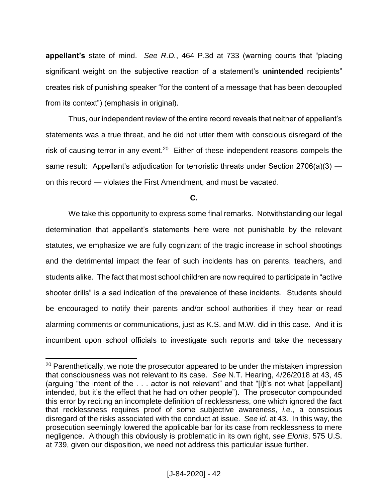**appellant's** state of mind. *See R.D.*, 464 P.3d at 733 (warning courts that "placing significant weight on the subjective reaction of a statement's **unintended** recipients" creates risk of punishing speaker "for the content of a message that has been decoupled from its context") (emphasis in original).

Thus, our independent review of the entire record reveals that neither of appellant's statements was a true threat, and he did not utter them with conscious disregard of the risk of causing terror in any event.<sup>20</sup> Either of these independent reasons compels the same result: Appellant's adjudication for terroristic threats under Section  $2706(a)(3)$  on this record — violates the First Amendment, and must be vacated.

**C.**

We take this opportunity to express some final remarks. Notwithstanding our legal determination that appellant's statements here were not punishable by the relevant statutes, we emphasize we are fully cognizant of the tragic increase in school shootings and the detrimental impact the fear of such incidents has on parents, teachers, and students alike. The fact that most school children are now required to participate in "active shooter drills" is a sad indication of the prevalence of these incidents. Students should be encouraged to notify their parents and/or school authorities if they hear or read alarming comments or communications, just as K.S. and M.W. did in this case. And it is incumbent upon school officials to investigate such reports and take the necessary

<sup>&</sup>lt;sup>20</sup> Parenthetically, we note the prosecutor appeared to be under the mistaken impression that consciousness was not relevant to its case. *See* N.T. Hearing, 4/26/2018 at 43, 45 (arguing "the intent of the . . . actor is not relevant" and that "[i]t's not what [appellant] intended, but it's the effect that he had on other people"). The prosecutor compounded this error by reciting an incomplete definition of recklessness, one which ignored the fact that recklessness requires proof of some subjective awareness, *i.e.*, a conscious disregard of the risks associated with the conduct at issue. *See id*. at 43. In this way, the prosecution seemingly lowered the applicable bar for its case from recklessness to mere negligence. Although this obviously is problematic in its own right, *see Elonis*, 575 U.S. at 739, given our disposition, we need not address this particular issue further.